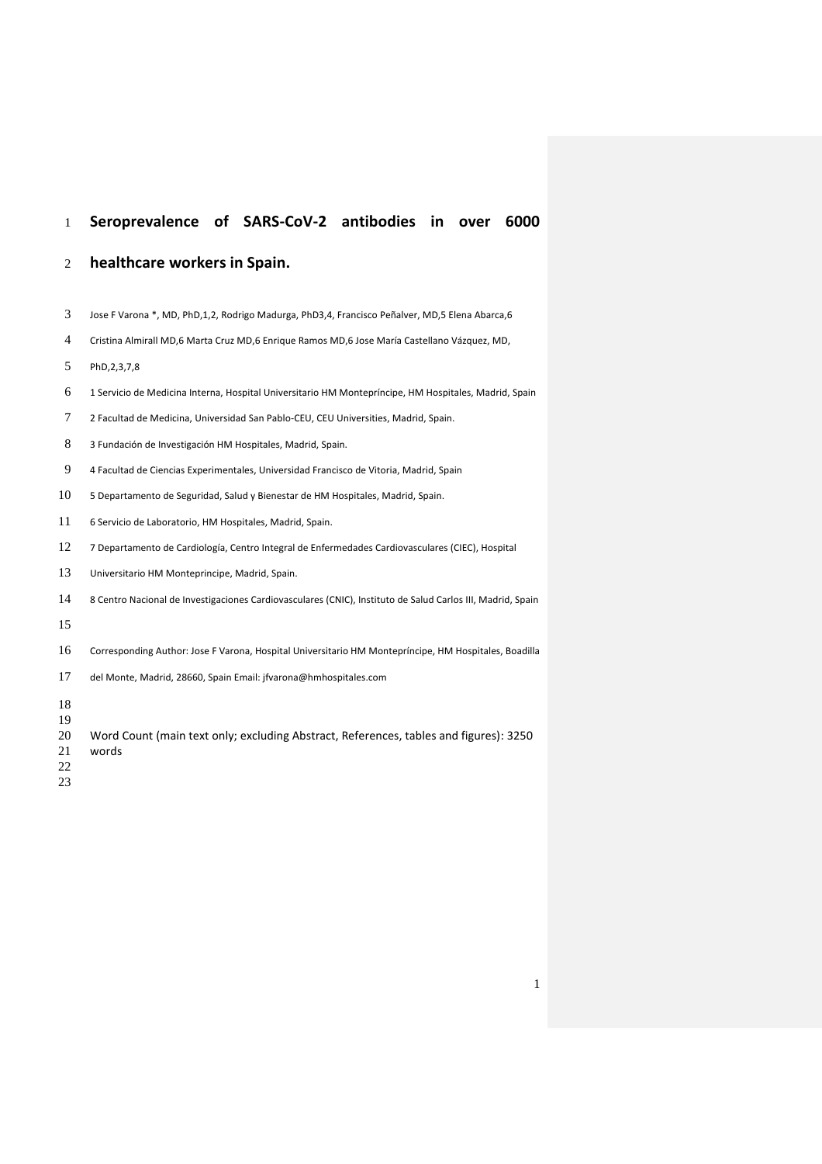## **Seroprevalence of SARS-CoV-2 antibodies in over 6000**

#### **healthcare workers in Spain.**

- Jose F Varona \*, MD, PhD,1,2, Rodrigo Madurga, PhD3,4, Francisco Peñalver, MD,5 Elena Abarca,6
- Cristina Almirall MD,6 Marta Cruz MD,6 Enrique Ramos MD,6 Jose María Castellano Vázquez, MD,
- PhD,2,3,7,8
- 1 Servicio de Medicina Interna, Hospital Universitario HM Montepríncipe, HM Hospitales, Madrid, Spain
- 2 Facultad de Medicina, Universidad San Pablo-CEU, CEU Universities, Madrid, Spain.
- 3 Fundación de Investigación HM Hospitales, Madrid, Spain.
- 4 Facultad de Ciencias Experimentales, Universidad Francisco de Vitoria, Madrid, Spain
- 5 Departamento de Seguridad, Salud y Bienestar de HM Hospitales, Madrid, Spain.
- 6 Servicio de Laboratorio, HM Hospitales, Madrid, Spain.
- 7 Departamento de Cardiología, Centro Integral de Enfermedades Cardiovasculares (CIEC), Hospital
- Universitario HM Monteprincipe, Madrid, Spain.
- 8 Centro Nacional de Investigaciones Cardiovasculares (CNIC), Instituto de Salud Carlos III, Madrid, Spain
- 
- Corresponding Author: Jose F Varona, Hospital Universitario HM Montepríncipe, HM Hospitales, Boadilla
- del Monte, Madrid, 28660, Spain Email[: jfvarona@hmhospitales.com](mailto:jfvarona@hmhospitales.com)
- 
- 
- Word Count (main text only; excluding Abstract, References, tables and figures): 3250 words
- 
-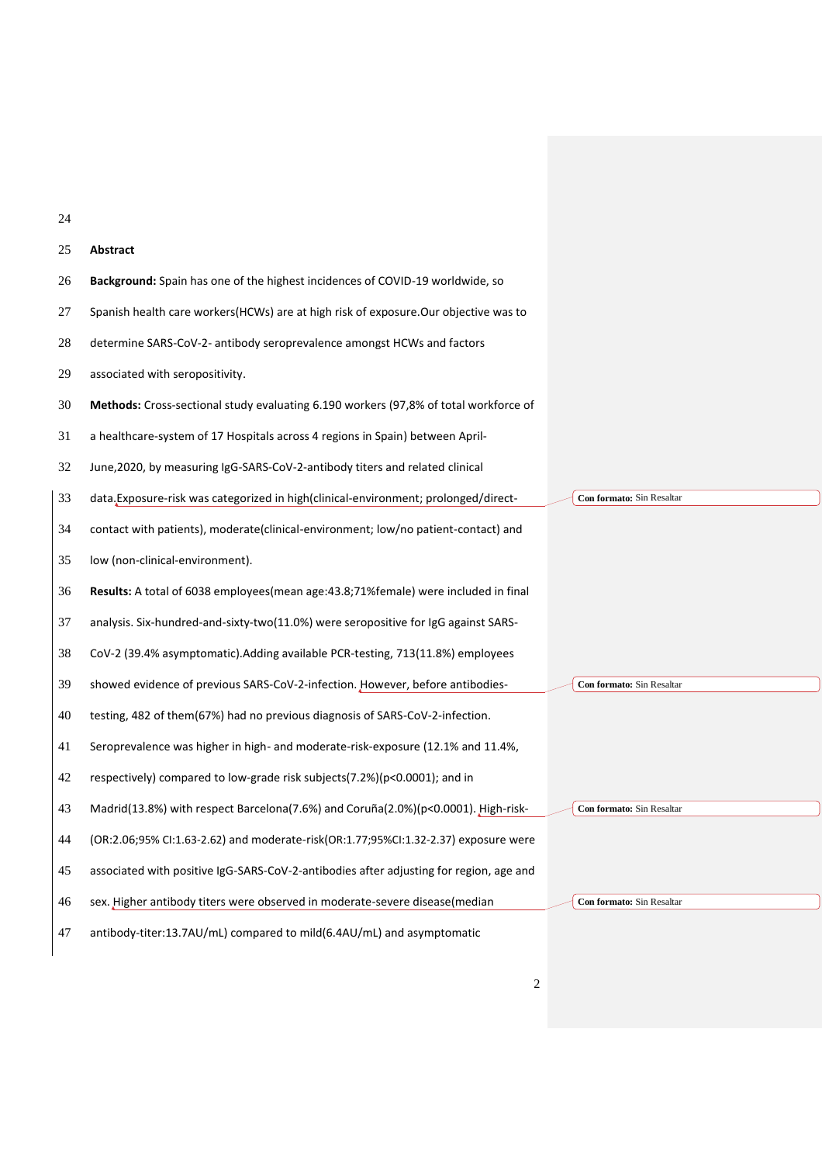| 25 | Abstract                                                                                    |                           |
|----|---------------------------------------------------------------------------------------------|---------------------------|
| 26 | Background: Spain has one of the highest incidences of COVID-19 worldwide, so               |                           |
| 27 | Spanish health care workers(HCWs) are at high risk of exposure.Our objective was to         |                           |
| 28 | determine SARS-CoV-2- antibody seroprevalence amongst HCWs and factors                      |                           |
| 29 | associated with seropositivity.                                                             |                           |
| 30 | <b>Methods:</b> Cross-sectional study evaluating 6.190 workers (97,8% of total workforce of |                           |
| 31 | a healthcare-system of 17 Hospitals across 4 regions in Spain) between April-               |                           |
| 32 | June, 2020, by measuring IgG-SARS-CoV-2-antibody titers and related clinical                |                           |
| 33 | data. Exposure-risk was categorized in high (clinical-environment; prolonged/direct-        | Con formato: Sin Resaltar |
| 34 | contact with patients), moderate (clinical-environment; low/no patient-contact) and         |                           |
| 35 | low (non-clinical-environment).                                                             |                           |
| 36 | Results: A total of 6038 employees (mean age: 43.8; 71% female) were included in final      |                           |
| 37 | analysis. Six-hundred-and-sixty-two(11.0%) were seropositive for IgG against SARS-          |                           |
| 38 | CoV-2 (39.4% asymptomatic). Adding available PCR-testing, 713(11.8%) employees              |                           |
| 39 | showed evidence of previous SARS-CoV-2-infection. However, before antibodies-               | Con formato: Sin Resaltar |
| 40 | testing, 482 of them(67%) had no previous diagnosis of SARS-CoV-2-infection.                |                           |
| 41 | Seroprevalence was higher in high- and moderate-risk-exposure (12.1% and 11.4%,             |                           |
| 42 | respectively) compared to low-grade risk subjects(7.2%)(p<0.0001); and in                   |                           |
| 43 | Madrid(13.8%) with respect Barcelona(7.6%) and Coruña(2.0%)(p<0.0001). High-risk-           | Con formato: Sin Resaltar |
| 44 | (OR:2.06;95% CI:1.63-2.62) and moderate-risk(OR:1.77;95%CI:1.32-2.37) exposure were         |                           |
| 45 | associated with positive IgG-SARS-CoV-2-antibodies after adjusting for region, age and      |                           |
| 46 | sex. Higher antibody titers were observed in moderate-severe disease(median                 | Con formato: Sin Resaltar |
| 47 | antibody-titer:13.7AU/mL) compared to mild(6.4AU/mL) and asymptomatic                       |                           |
|    |                                                                                             |                           |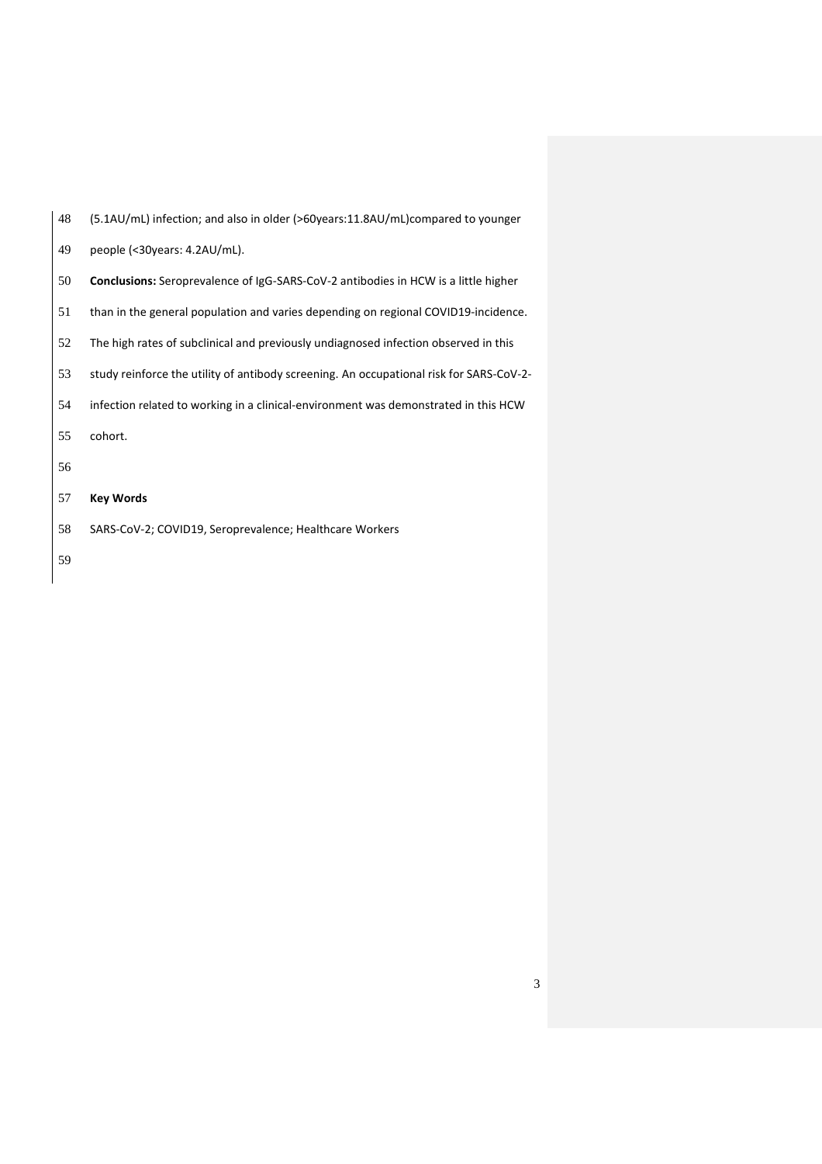| -49 | people (<30years: 4.2AU/mL).                                                              |
|-----|-------------------------------------------------------------------------------------------|
| -50 | <b>Conclusions:</b> Seroprevalence of IgG-SARS-CoV-2 antibodies in HCW is a little higher |
| -51 | than in the general population and varies depending on regional COVID19-incidence.        |

(5.1AU/mL) infection; and also in older (>60years:11.8AU/mL)compared to younger

The high rates of subclinical and previously undiagnosed infection observed in this

study reinforce the utility of antibody screening. An occupational risk for SARS-CoV-2-

- infection related to working in a clinical-environment was demonstrated in this HCW
- cohort.
- 
- **Key Words**
- SARS-CoV-2; COVID19, Seroprevalence; Healthcare Workers
-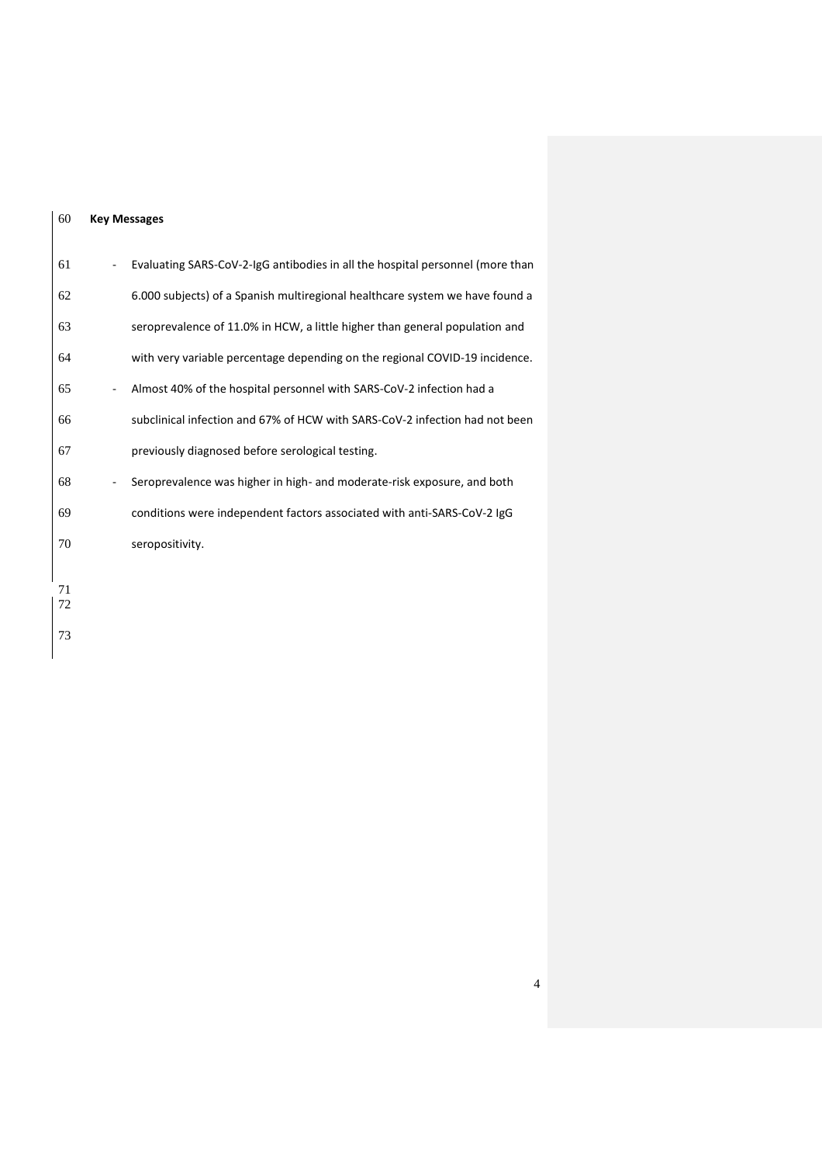#### **Key Messages**

| 61       | Evaluating SARS-CoV-2-IgG antibodies in all the hospital personnel (more than |
|----------|-------------------------------------------------------------------------------|
| 62       | 6.000 subjects) of a Spanish multiregional healthcare system we have found a  |
| 63       | seroprevalence of 11.0% in HCW, a little higher than general population and   |
| 64       | with very variable percentage depending on the regional COVID-19 incidence.   |
| 65       | Almost 40% of the hospital personnel with SARS-CoV-2 infection had a          |
| 66       | subclinical infection and 67% of HCW with SARS-CoV-2 infection had not been   |
| 67       | previously diagnosed before serological testing.                              |
| 68       | Seroprevalence was higher in high- and moderate-risk exposure, and both       |
| 69       | conditions were independent factors associated with anti-SARS-CoV-2 IgG       |
| 70       | seropositivity.                                                               |
| 71<br>72 |                                                                               |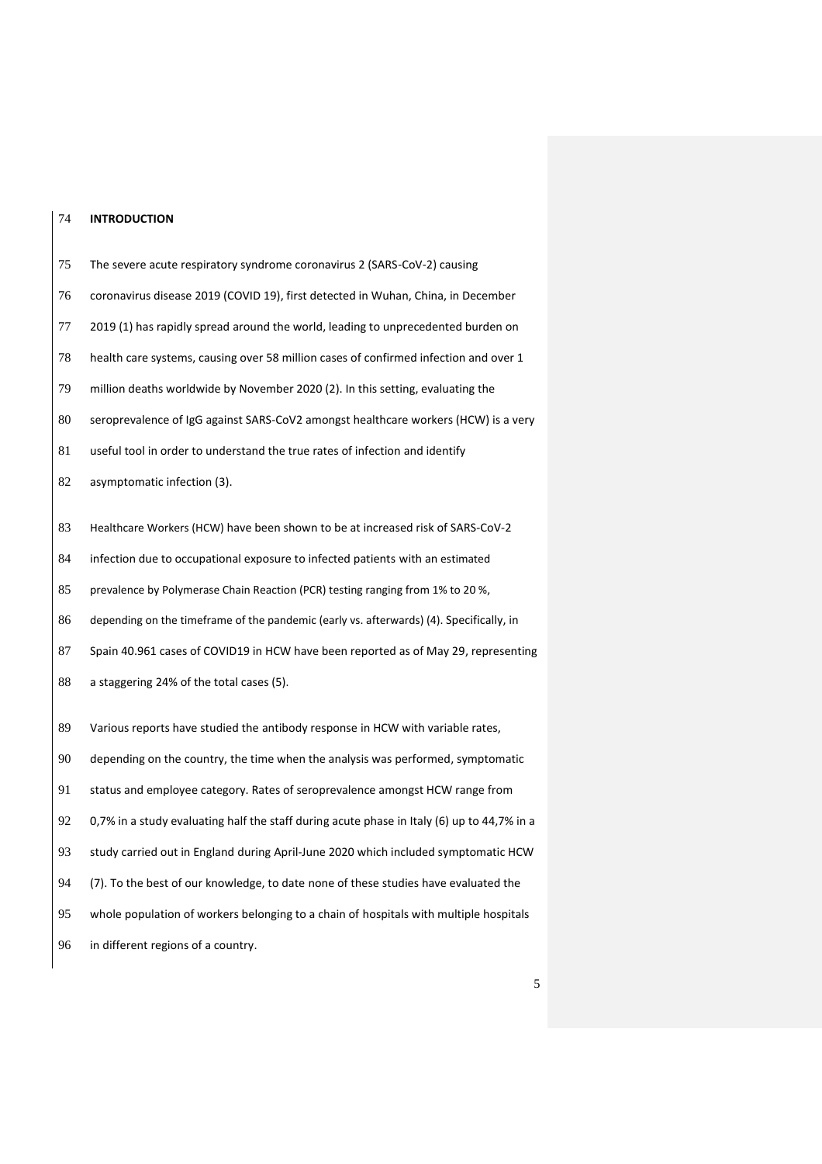#### **INTRODUCTION**

 The severe acute respiratory syndrome coronavirus 2 (SARS-CoV-2) causing coronavirus disease 2019 (COVID 19), first detected in Wuhan, China, in December 2019 (1) has rapidly spread around the world, leading to unprecedented burden on health care systems, causing over 58 million cases of confirmed infection and over 1 million deaths worldwide by November 2020 (2). In this setting, evaluating the seroprevalence of IgG against SARS-CoV2 amongst healthcare workers (HCW) is a very useful tool in order to understand the true rates of infection and identify 82 asymptomatic infection (3). Healthcare Workers (HCW) have been shown to be at increased risk of SARS-CoV-2 infection due to occupational exposure to infected patients with an estimated prevalence by Polymerase Chain Reaction (PCR) testing ranging from 1% to 20 %, depending on the timeframe of the pandemic (early vs. afterwards) (4). Specifically, in Spain 40.961 cases of COVID19 in HCW have been reported as of May 29, representing 88 a staggering 24% of the total cases (5). Various reports have studied the antibody response in HCW with variable rates, depending on the country, the time when the analysis was performed, symptomatic status and employee category. Rates of seroprevalence amongst HCW range from 0,7% in a study evaluating half the staff during acute phase in Italy (6) up to 44,7% in a study carried out in England during April-June 2020 which included symptomatic HCW (7). To the best of our knowledge, to date none of these studies have evaluated the whole population of workers belonging to a chain of hospitals with multiple hospitals in different regions of a country.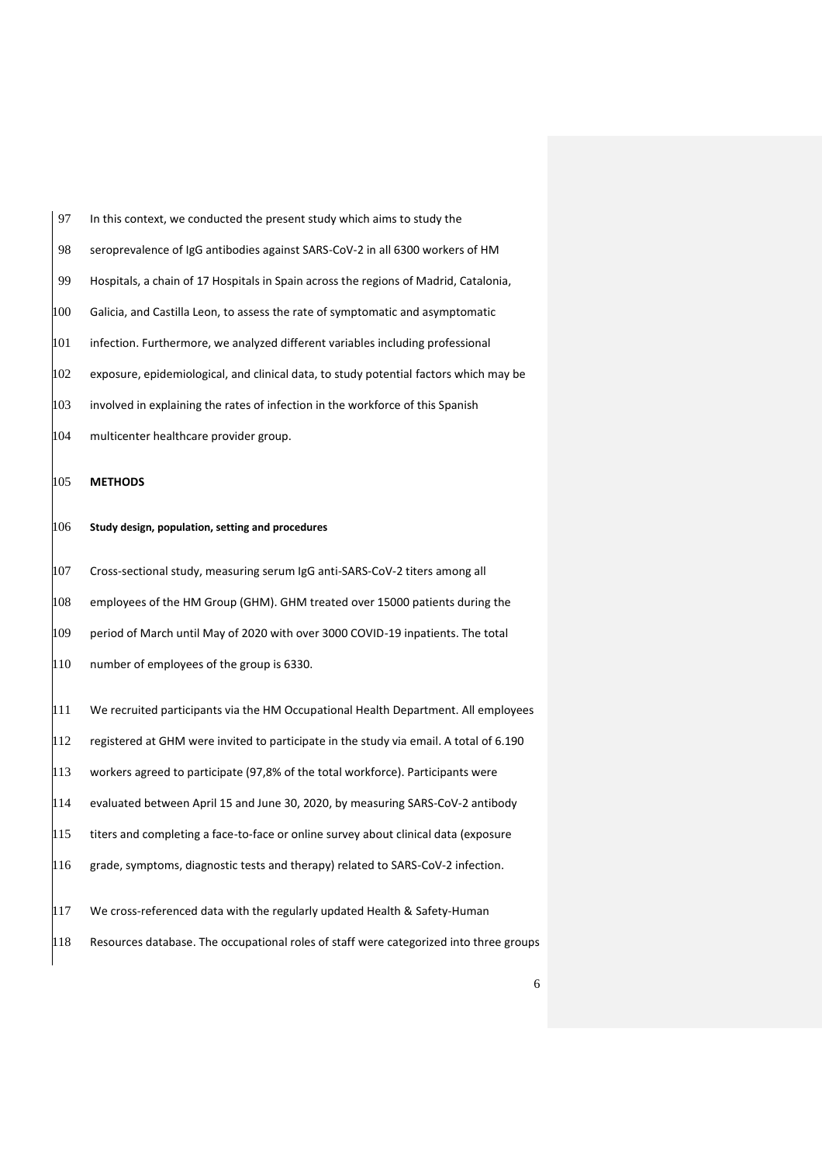| 97  | In this context, we conducted the present study which aims to study the                |
|-----|----------------------------------------------------------------------------------------|
| 98  | seroprevalence of IgG antibodies against SARS-CoV-2 in all 6300 workers of HM          |
| 99  | Hospitals, a chain of 17 Hospitals in Spain across the regions of Madrid, Catalonia,   |
| 100 | Galicia, and Castilla Leon, to assess the rate of symptomatic and asymptomatic         |
| 101 | infection. Furthermore, we analyzed different variables including professional         |
| 102 | exposure, epidemiological, and clinical data, to study potential factors which may be  |
| 103 | involved in explaining the rates of infection in the workforce of this Spanish         |
| 104 | multicenter healthcare provider group.                                                 |
| 105 | <b>METHODS</b>                                                                         |
| 106 | Study design, population, setting and procedures                                       |
| 107 | Cross-sectional study, measuring serum IgG anti-SARS-CoV-2 titers among all            |
| 108 | employees of the HM Group (GHM). GHM treated over 15000 patients during the            |
| 109 | period of March until May of 2020 with over 3000 COVID-19 inpatients. The total        |
| 110 | number of employees of the group is 6330.                                              |
| 111 | We recruited participants via the HM Occupational Health Department. All employees     |
| 112 | registered at GHM were invited to participate in the study via email. A total of 6.190 |
| 113 | workers agreed to participate (97,8% of the total workforce). Participants were        |
| 114 | evaluated between April 15 and June 30, 2020, by measuring SARS-CoV-2 antibody         |
| 115 | titers and completing a face-to-face or online survey about clinical data (exposure    |
| 116 | grade, symptoms, diagnostic tests and therapy) related to SARS-CoV-2 infection.        |
| 117 | We cross-referenced data with the regularly updated Health & Safety-Human              |
| 118 | Resources database. The occupational roles of staff were categorized into three groups |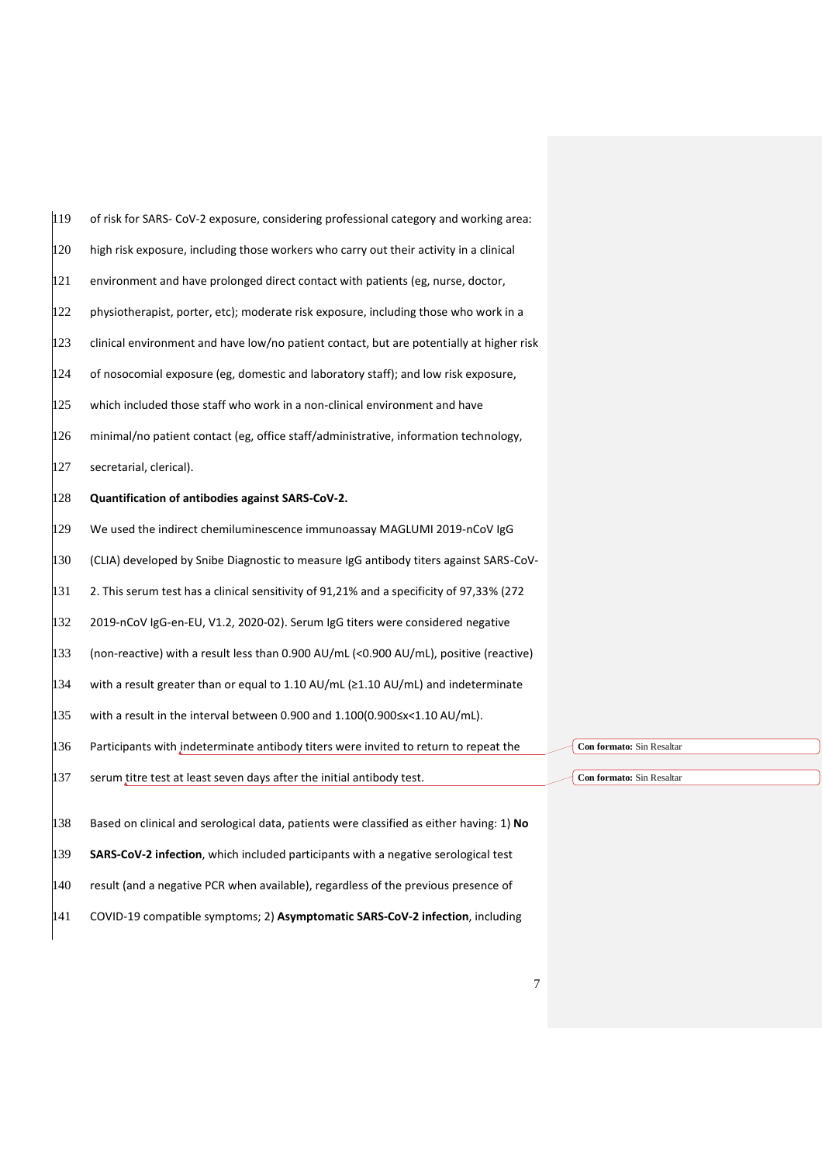| 119 | of risk for SARS- CoV-2 exposure, considering professional category and working area:         |                           |
|-----|-----------------------------------------------------------------------------------------------|---------------------------|
| 120 | high risk exposure, including those workers who carry out their activity in a clinical        |                           |
| 121 | environment and have prolonged direct contact with patients (eg, nurse, doctor,               |                           |
| 122 | physiotherapist, porter, etc); moderate risk exposure, including those who work in a          |                           |
| 123 | clinical environment and have low/no patient contact, but are potentially at higher risk      |                           |
| 124 | of nosocomial exposure (eg, domestic and laboratory staff); and low risk exposure,            |                           |
| 125 | which included those staff who work in a non-clinical environment and have                    |                           |
| 126 | minimal/no patient contact (eg, office staff/administrative, information technology,          |                           |
| 127 | secretarial, clerical).                                                                       |                           |
| 128 | Quantification of antibodies against SARS-CoV-2.                                              |                           |
| 129 | We used the indirect chemiluminescence immunoassay MAGLUMI 2019-nCoV IgG                      |                           |
| 130 | (CLIA) developed by Snibe Diagnostic to measure IgG antibody titers against SARS-CoV-         |                           |
| 131 | 2. This serum test has a clinical sensitivity of 91,21% and a specificity of 97,33% (272)     |                           |
| 132 | 2019-nCoV IgG-en-EU, V1.2, 2020-02). Serum IgG titers were considered negative                |                           |
| 133 | (non-reactive) with a result less than 0.900 AU/mL (<0.900 AU/mL), positive (reactive)        |                           |
| 134 | with a result greater than or equal to 1.10 AU/mL ( $\geq$ 1.10 AU/mL) and indeterminate      |                           |
| 135 | with a result in the interval between 0.900 and $1.100(0.900 \le x \le 1.10 \text{ AU/mL})$ . |                           |
| 136 | Participants with indeterminate antibody titers were invited to return to repeat the          | Con formato: Sin Resaltar |
| 137 | serum titre test at least seven days after the initial antibody test.                         | Con formato: Sin Resaltar |
| 138 | Based on clinical and serological data, patients were classified as either having: 1) No      |                           |
| 139 | SARS-CoV-2 infection, which included participants with a negative serological test            |                           |
| 140 | result (and a negative PCR when available), regardless of the previous presence of            |                           |
| 141 | COVID-19 compatible symptoms; 2) Asymptomatic SARS-CoV-2 infection, including                 |                           |

 $\overline{\phantom{0}}$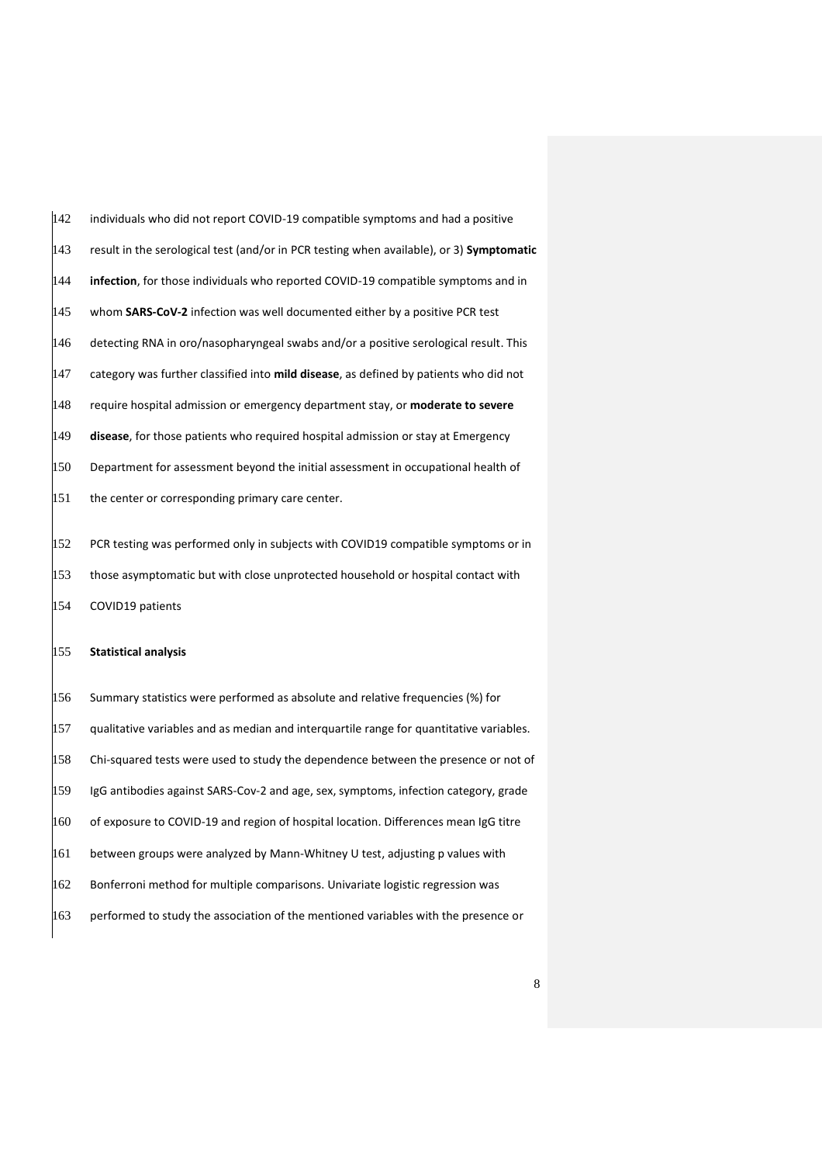| 142 | individuals who did not report COVID-19 compatible symptoms and had a positive           |
|-----|------------------------------------------------------------------------------------------|
| 143 | result in the serological test (and/or in PCR testing when available), or 3) Symptomatic |
| 144 | infection, for those individuals who reported COVID-19 compatible symptoms and in        |
| 145 | whom SARS-CoV-2 infection was well documented either by a positive PCR test              |
| 146 | detecting RNA in oro/nasopharyngeal swabs and/or a positive serological result. This     |
| 147 | category was further classified into mild disease, as defined by patients who did not    |
| 148 | require hospital admission or emergency department stay, or moderate to severe           |
| 149 | disease, for those patients who required hospital admission or stay at Emergency         |
| 150 | Department for assessment beyond the initial assessment in occupational health of        |
| 151 | the center or corresponding primary care center.                                         |
| 152 | PCR testing was performed only in subjects with COVID19 compatible symptoms or in        |
| 153 | those asymptomatic but with close unprotected household or hospital contact with         |
| 154 | COVID19 patients                                                                         |
|     |                                                                                          |

### **Statistical analysis**

 Summary statistics were performed as absolute and relative frequencies (%) for qualitative variables and as median and interquartile range for quantitative variables. Chi-squared tests were used to study the dependence between the presence or not of 159 IgG antibodies against SARS-Cov-2 and age, sex, symptoms, infection category, grade  $\frac{1}{160}$  of exposure to COVID-19 and region of hospital location. Differences mean IgG titre  $|161$  between groups were analyzed by Mann-Whitney U test, adjusting p values with Bonferroni method for multiple comparisons. Univariate logistic regression was  $\frac{1}{6}$  performed to study the association of the mentioned variables with the presence or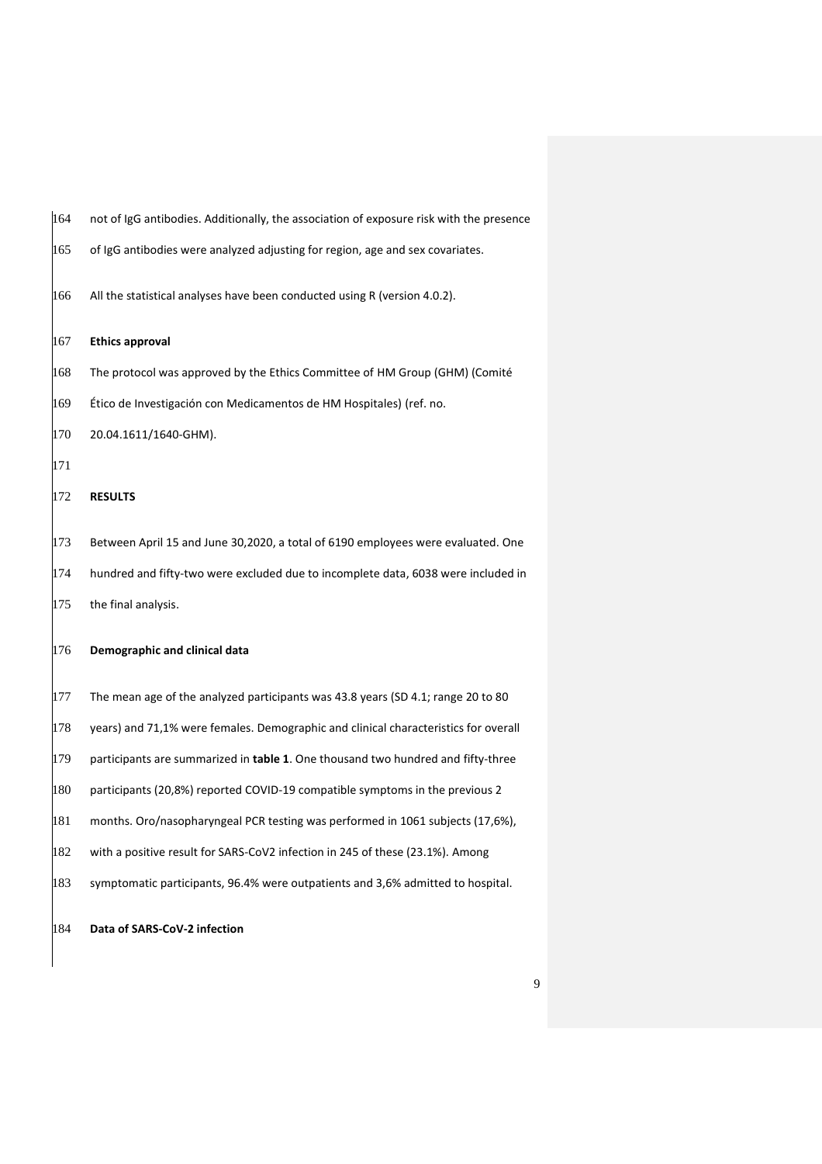| 164 | not of IgG antibodies. Additionally, the association of exposure risk with the presence |
|-----|-----------------------------------------------------------------------------------------|
| 165 | of IgG antibodies were analyzed adjusting for region, age and sex covariates.           |
| 166 | All the statistical analyses have been conducted using R (version 4.0.2).               |
| 167 | <b>Ethics approval</b>                                                                  |
| 168 | The protocol was approved by the Ethics Committee of HM Group (GHM) (Comité             |
| 169 | Ético de Investigación con Medicamentos de HM Hospitales) (ref. no.                     |
| 170 | 20.04.1611/1640-GHM).                                                                   |
| 171 |                                                                                         |
| 172 | <b>RESULTS</b>                                                                          |
| 173 | Between April 15 and June 30,2020, a total of 6190 employees were evaluated. One        |
| 174 | hundred and fifty-two were excluded due to incomplete data, 6038 were included in       |
| 175 | the final analysis.                                                                     |
| 176 | Demographic and clinical data                                                           |
| 177 | The mean age of the analyzed participants was 43.8 years (SD 4.1; range 20 to 80        |
| 178 | years) and 71,1% were females. Demographic and clinical characteristics for overall     |
| 179 | participants are summarized in table 1. One thousand two hundred and fifty-three        |
| 180 | participants (20,8%) reported COVID-19 compatible symptoms in the previous 2            |
| 181 | months. Oro/nasopharyngeal PCR testing was performed in 1061 subjects (17,6%),          |
| 182 | with a positive result for SARS-CoV2 infection in 245 of these (23.1%). Among           |
| 183 | symptomatic participants, 96.4% were outpatients and 3,6% admitted to hospital.         |
| 184 | Data of SARS-CoV-2 infection                                                            |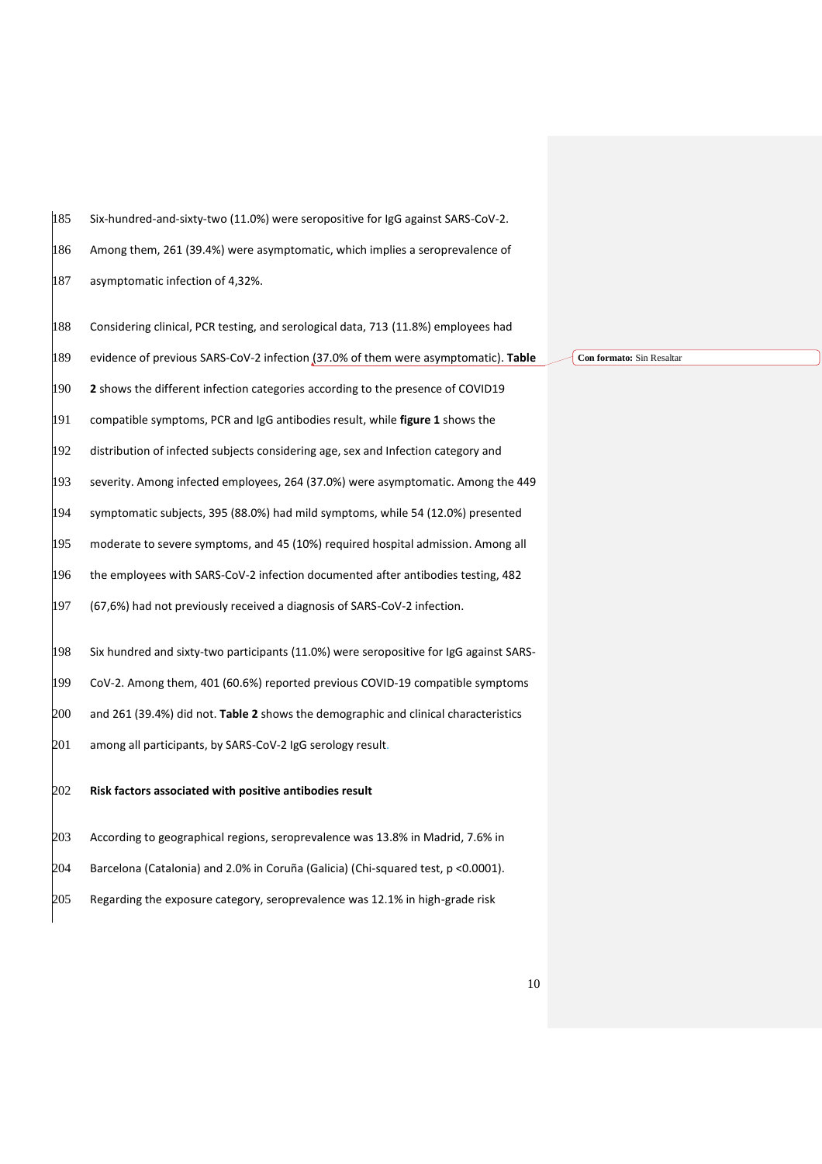Six-hundred-and-sixty-two (11.0%) were seropositive for IgG against SARS-CoV-2.

Among them, 261 (39.4%) were asymptomatic, which implies a seroprevalence of

187 asymptomatic infection of 4,32%.

 Considering clinical, PCR testing, and serological data, 713 (11.8%) employees had evidence of previous SARS-CoV-2 infection (37.0% of them were asymptomatic). **Table 2** shows the different infection categories according to the presence of COVID19 compatible symptoms, PCR and IgG antibodies result, while **figure 1** shows the distribution of infected subjects considering age, sex and Infection category and severity. Among infected employees, 264 (37.0%) were asymptomatic. Among the 449 symptomatic subjects, 395 (88.0%) had mild symptoms, while 54 (12.0%) presented moderate to severe symptoms, and 45 (10%) required hospital admission. Among all the employees with SARS-CoV-2 infection documented after antibodies testing, 482 (67,6%) had not previously received a diagnosis of SARS-CoV-2 infection. Six hundred and sixty-two participants (11.0%) were seropositive for IgG against SARS- CoV-2. Among them, 401 (60.6%) reported previous COVID-19 compatible symptoms and 261 (39.4%) did not. **Table 2** shows the demographic and clinical characteristics 201 among all participants, by SARS-CoV-2 IgG serology result. **Risk factors associated with positive antibodies result**

 According to geographical regions, seroprevalence was 13.8% in Madrid, 7.6% in Barcelona (Catalonia) and 2.0% in Coruña (Galicia) (Chi-squared test, p <0.0001). Regarding the exposure category, seroprevalence was 12.1% in high-grade risk

**Con formato:** Sin Resaltar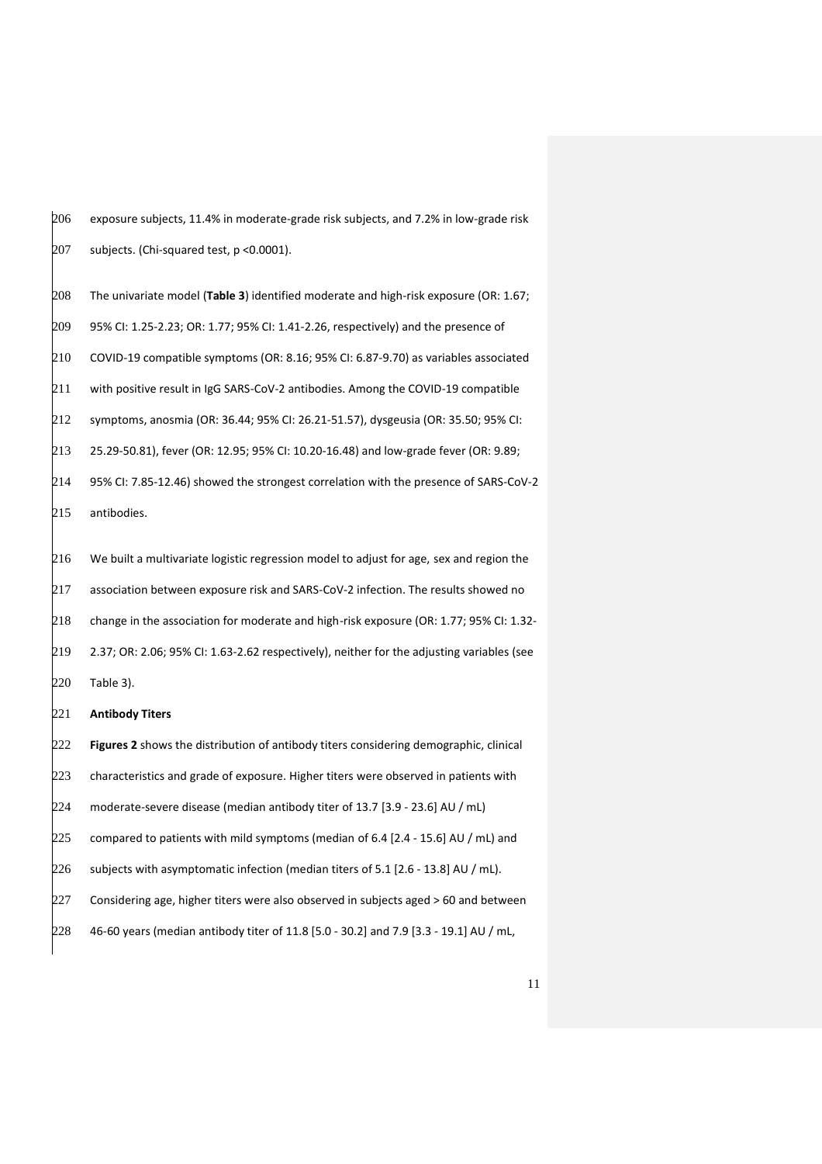| 206 | exposure subjects, 11.4% in moderate-grade risk subjects, and 7.2% in low-grade risk      |
|-----|-------------------------------------------------------------------------------------------|
| 207 | subjects. (Chi-squared test, p < 0.0001).                                                 |
| 208 | The univariate model (Table 3) identified moderate and high-risk exposure (OR: 1.67;      |
| 209 | 95% CI: 1.25-2.23; OR: 1.77; 95% CI: 1.41-2.26, respectively) and the presence of         |
| 210 | COVID-19 compatible symptoms (OR: 8.16; 95% CI: 6.87-9.70) as variables associated        |
| 211 | with positive result in IgG SARS-CoV-2 antibodies. Among the COVID-19 compatible          |
| 212 | symptoms, anosmia (OR: 36.44; 95% CI: 26.21-51.57), dysgeusia (OR: 35.50; 95% CI:         |
| 213 | 25.29-50.81), fever (OR: 12.95; 95% CI: 10.20-16.48) and low-grade fever (OR: 9.89;       |
| 214 | 95% CI: 7.85-12.46) showed the strongest correlation with the presence of SARS-CoV-2      |
| 215 | antibodies.                                                                               |
| 216 | We built a multivariate logistic regression model to adjust for age, sex and region the   |
| 217 | association between exposure risk and SARS-CoV-2 infection. The results showed no         |
| 218 | change in the association for moderate and high-risk exposure (OR: 1.77; 95% CI: 1.32-    |
| 219 | 2.37; OR: 2.06; 95% CI: 1.63-2.62 respectively), neither for the adjusting variables (see |
| 220 | Table 3).                                                                                 |
| 221 | <b>Antibody Titers</b>                                                                    |
| 222 | Figures 2 shows the distribution of antibody titers considering demographic, clinical     |

 characteristics and grade of exposure. Higher titers were observed in patients with moderate-severe disease (median antibody titer of 13.7 [3.9 - 23.6] AU / mL) compared to patients with mild symptoms (median of 6.4 [2.4 - 15.6] AU / mL) and subjects with asymptomatic infection (median titers of 5.1 [2.6 - 13.8] AU / mL). Considering age, higher titers were also observed in subjects aged > 60 and between 46-60 years (median antibody titer of 11.8 [5.0 - 30.2] and 7.9 [3.3 - 19.1] AU / mL,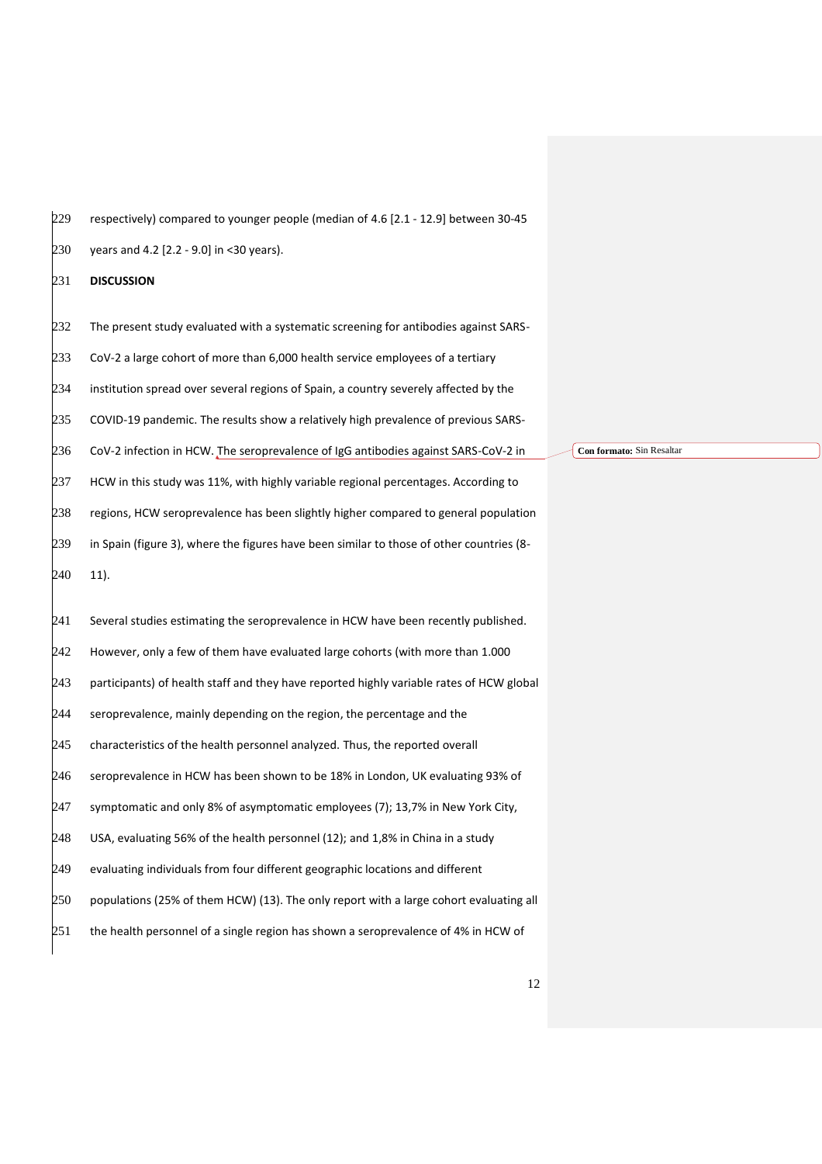| 230 | years and 4.2 [2.2 - 9.0] in <30 years).                                                 |                           |
|-----|------------------------------------------------------------------------------------------|---------------------------|
| 231 | <b>DISCUSSION</b>                                                                        |                           |
| 232 | The present study evaluated with a systematic screening for antibodies against SARS-     |                           |
| 233 | CoV-2 a large cohort of more than 6,000 health service employees of a tertiary           |                           |
| 234 | institution spread over several regions of Spain, a country severely affected by the     |                           |
| 235 | COVID-19 pandemic. The results show a relatively high prevalence of previous SARS-       |                           |
| 236 | CoV-2 infection in HCW. The seroprevalence of IgG antibodies against SARS-CoV-2 in       | Con formato: Sin Resaltar |
| 237 | HCW in this study was 11%, with highly variable regional percentages. According to       |                           |
| 238 | regions, HCW seroprevalence has been slightly higher compared to general population      |                           |
| 239 | in Spain (figure 3), where the figures have been similar to those of other countries (8- |                           |
| 240 | $11$ ).                                                                                  |                           |
| 241 | Several studies estimating the seroprevalence in HCW have been recently published.       |                           |
| 242 | However, only a few of them have evaluated large cohorts (with more than 1.000           |                           |
| 243 | participants) of health staff and they have reported highly variable rates of HCW global |                           |
| 244 | seroprevalence, mainly depending on the region, the percentage and the                   |                           |
| 245 | characteristics of the health personnel analyzed. Thus, the reported overall             |                           |
| 246 | seroprevalence in HCW has been shown to be 18% in London, UK evaluating 93% of           |                           |
| 247 | symptomatic and only 8% of asymptomatic employees (7); 13,7% in New York City,           |                           |
| 248 | USA, evaluating 56% of the health personnel (12); and 1,8% in China in a study           |                           |
| 249 | evaluating individuals from four different geographic locations and different            |                           |
| 250 | populations (25% of them HCW) (13). The only report with a large cohort evaluating all   |                           |
| 251 | the health personnel of a single region has shown a seroprevalence of 4% in HCW of       |                           |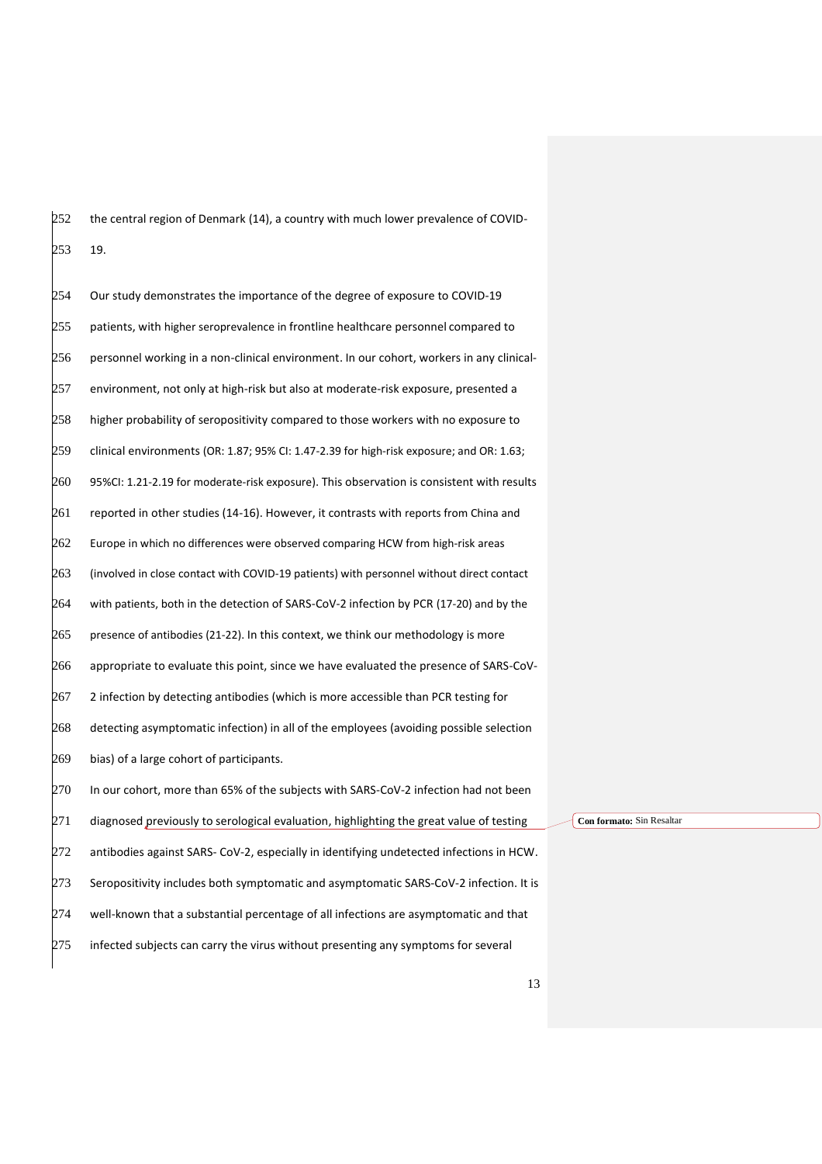the central region of Denmark (14), a country with much lower prevalence of COVID-19.

 Our study demonstrates the importance of the degree of exposure to COVID-19 patients, with higher seroprevalence in frontline healthcare personnel compared to personnel working in a non-clinical environment. In our cohort, workers in any clinical- environment, not only at high-risk but also at moderate-risk exposure, presented a higher probability of seropositivity compared to those workers with no exposure to clinical environments (OR: 1.87; 95% CI: 1.47-2.39 for high-risk exposure; and OR: 1.63; 95%CI: 1.21-2.19 for moderate-risk exposure). This observation is consistent with results reported in other studies (14-16). However, it contrasts with reports from China and Europe in which no differences were observed comparing HCW from high-risk areas (involved in close contact with COVID-19 patients) with personnel without direct contact with patients, both in the detection of SARS-CoV-2 infection by PCR (17-20) and by the presence of antibodies (21-22). In this context, we think our methodology is more appropriate to evaluate this point, since we have evaluated the presence of SARS-CoV- 2 infection by detecting antibodies (which is more accessible than PCR testing for detecting asymptomatic infection) in all of the employees (avoiding possible selection bias) of a large cohort of participants. In our cohort, more than 65% of the subjects with SARS-CoV-2 infection had not been diagnosed previously to serological evaluation, highlighting the great value of testing antibodies against SARS- CoV-2, especially in identifying undetected infections in HCW. Seropositivity includes both symptomatic and asymptomatic SARS-CoV-2 infection. It is well-known that a substantial percentage of all infections are asymptomatic and that infected subjects can carry the virus without presenting any symptoms for several

**Con formato:** Sin Resaltar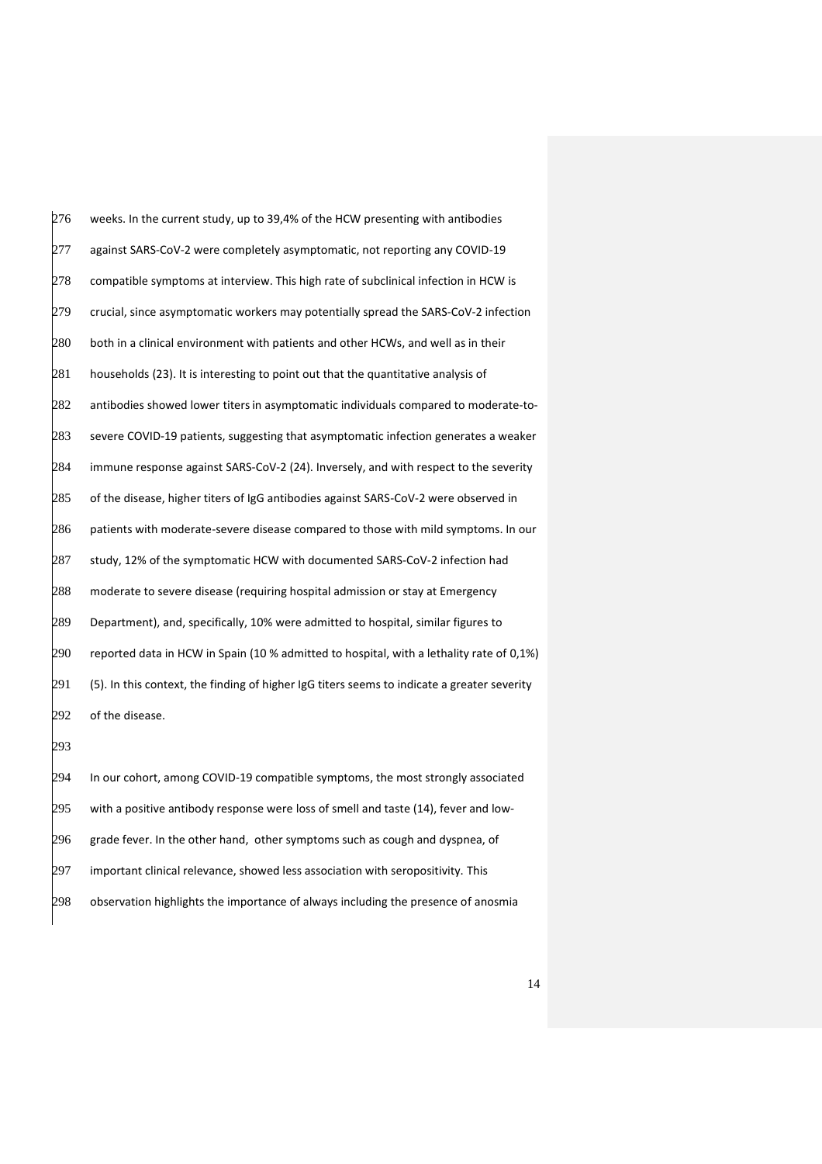weeks. In the current study, up to 39,4% of the HCW presenting with antibodies 277 against SARS-CoV-2 were completely asymptomatic, not reporting any COVID-19 compatible symptoms at interview. This high rate of subclinical infection in HCW is crucial, since asymptomatic workers may potentially spread the SARS-CoV-2 infection both in a clinical environment with patients and other HCWs, and well as in their households (23). It is interesting to point out that the quantitative analysis of antibodies showed lower titers in asymptomatic individuals compared to moderate-to- severe COVID-19 patients, suggesting that asymptomatic infection generates a weaker immune response against SARS-CoV-2 (24). Inversely, and with respect to the severity of the disease, higher titers of IgG antibodies against SARS-CoV-2 were observed in patients with moderate-severe disease compared to those with mild symptoms. In our study, 12% of the symptomatic HCW with documented SARS-CoV-2 infection had moderate to severe disease (requiring hospital admission or stay at Emergency Department), and, specifically, 10% were admitted to hospital, similar figures to reported data in HCW in Spain (10 % admitted to hospital, with a lethality rate of 0,1%) (5). In this context, the finding of higher IgG titers seems to indicate a greater severity 292 of the disease. In our cohort, among COVID-19 compatible symptoms, the most strongly associated with a positive antibody response were loss of smell and taste (14), fever and low-

296 grade fever. In the other hand, other symptoms such as cough and dyspnea, of

important clinical relevance, showed less association with seropositivity. This

observation highlights the importance of always including the presence of anosmia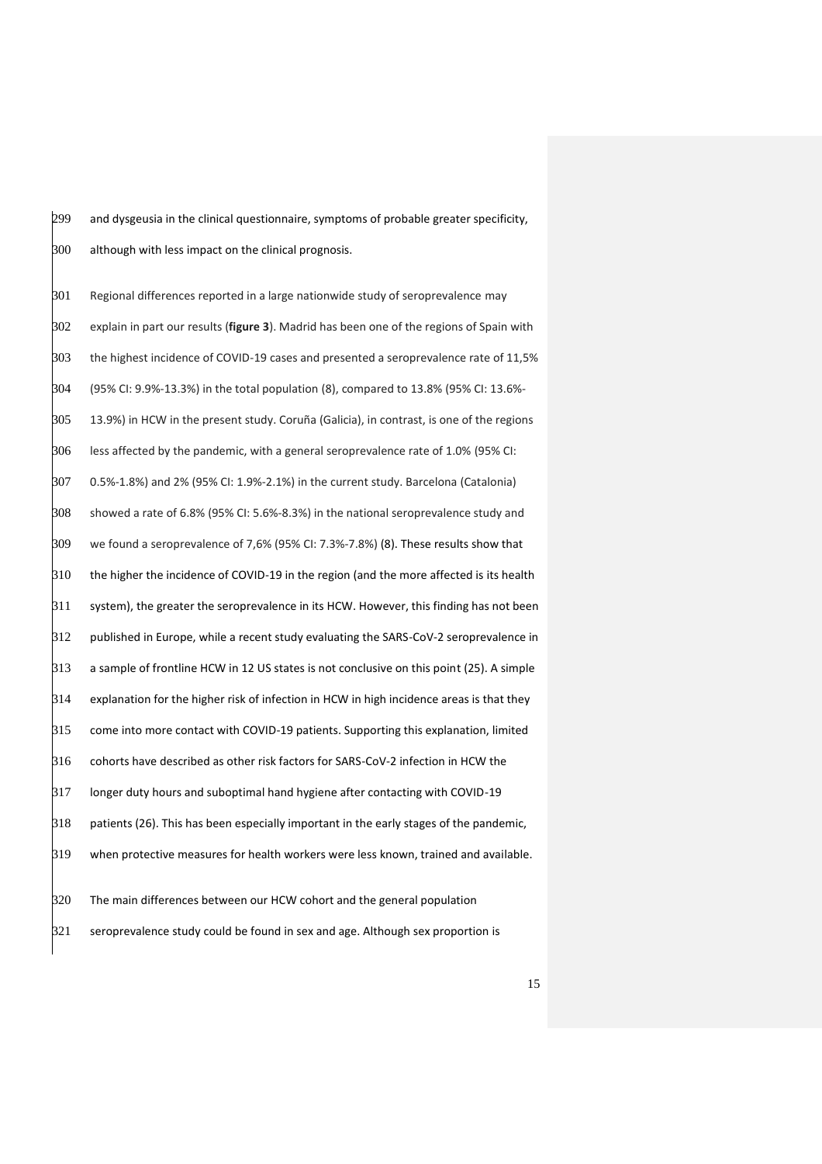and dysgeusia in the clinical questionnaire, symptoms of probable greater specificity, although with less impact on the clinical prognosis.

 Regional differences reported in a large nationwide study of seroprevalence may explain in part our results (**figure 3**). Madrid has been one of the regions of Spain with the highest incidence of COVID-19 cases and presented a seroprevalence rate of 11,5% (95% CI: 9.9%-13.3%) in the total population (8), compared to 13.8% (95% CI: 13.6%- 13.9%) in HCW in the present study. Coruña (Galicia), in contrast, is one of the regions less affected by the pandemic, with a general seroprevalence rate of 1.0% (95% CI: 0.5%-1.8%) and 2% (95% CI: 1.9%-2.1%) in the current study. Barcelona (Catalonia) showed a rate of 6.8% (95% CI: 5.6%-8.3%) in the national seroprevalence study and we found a seroprevalence of 7,6% (95% CI: 7.3%-7.8%) (8). These results show that the higher the incidence of COVID-19 in the region (and the more affected is its health system), the greater the seroprevalence in its HCW. However, this finding has not been published in Europe, while a recent study evaluating the SARS-CoV-2 seroprevalence in a sample of frontline HCW in 12 US states is not conclusive on this point (25). A simple  $\beta$ 14 explanation for the higher risk of infection in HCW in high incidence areas is that they  $\beta$ 15 come into more contact with COVID-19 patients. Supporting this explanation, limited  $\beta$ 16 cohorts have described as other risk factors for SARS-CoV-2 infection in HCW the  $\beta$ 17 longer duty hours and suboptimal hand hygiene after contacting with COVID-19  $\beta$ 18 patients (26). This has been especially important in the early stages of the pandemic, when protective measures for health workers were less known, trained and available. The main differences between our HCW cohort and the general population seroprevalence study could be found in sex and age. Although sex proportion is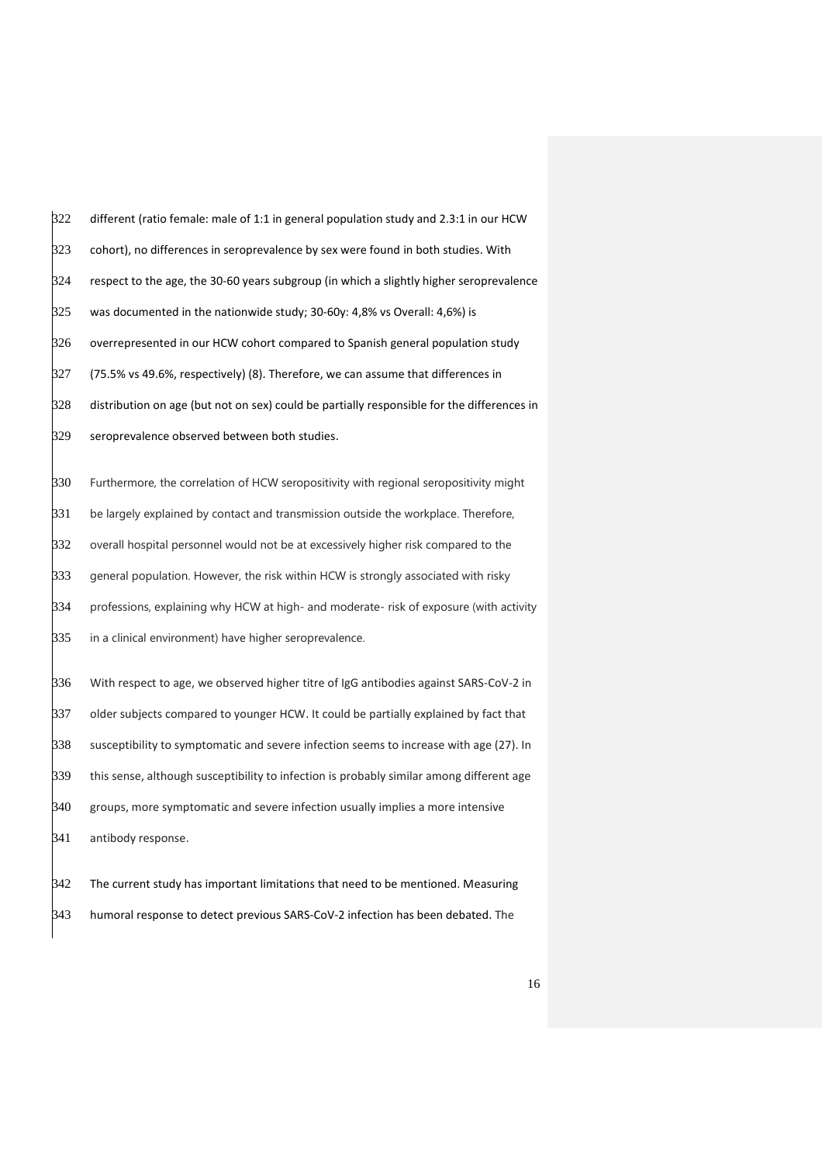different (ratio female: male of 1:1 in general population study and 2.3:1 in our HCW cohort), no differences in seroprevalence by sex were found in both studies. With respect to the age, the 30-60 years subgroup (in which a slightly higher seroprevalence was documented in the nationwide study; 30-60y: 4,8% vs Overall: 4,6%) is overrepresented in our HCW cohort compared to Spanish general population study (75.5% vs 49.6%, respectively) (8). Therefore, we can assume that differences in distribution on age (but not on sex) could be partially responsible for the differences in seroprevalence observed between both studies. Furthermore, the correlation of HCW seropositivity with regional seropositivity might 331 be largely explained by contact and transmission outside the workplace. Therefore, overall hospital personnel would not be at excessively higher risk compared to the general population. However, the risk within HCW is strongly associated with risky professions, explaining why HCW at high- and moderate- risk of exposure (with activity 335 in a clinical environment) have higher seroprevalence. With respect to age, we observed higher titre of IgG antibodies against SARS-CoV-2 in older subjects compared to younger HCW. It could be partially explained by fact that susceptibility to symptomatic and severe infection seems to increase with age (27). In this sense, although susceptibility to infection is probably similar among different age

 groups, more symptomatic and severe infection usually implies a more intensive antibody response.

 The current study has important limitations that need to be mentioned. Measuring humoral response to detect previous SARS-CoV-2 infection has been debated. The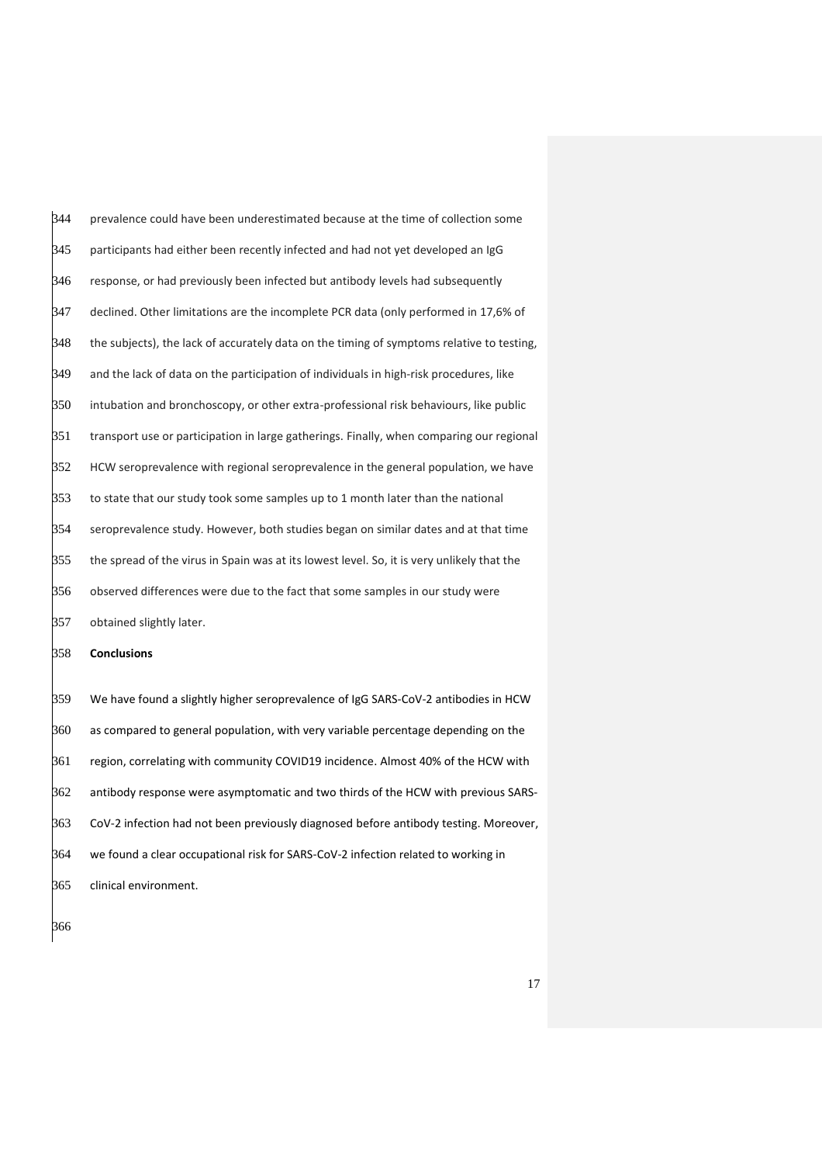$\beta$ 44 prevalence could have been underestimated because at the time of collection some participants had either been recently infected and had not yet developed an IgG response, or had previously been infected but antibody levels had subsequently declined. Other limitations are the incomplete PCR data (only performed in 17,6% of the subjects), the lack of accurately data on the timing of symptoms relative to testing, and the lack of data on the participation of individuals in high-risk procedures, like intubation and bronchoscopy, or other extra-professional risk behaviours, like public transport use or participation in large gatherings. Finally, when comparing our regional HCW seroprevalence with regional seroprevalence in the general population, we have to state that our study took some samples up to 1 month later than the national seroprevalence study. However, both studies began on similar dates and at that time the spread of the virus in Spain was at its lowest level. So, it is very unlikely that the observed differences were due to the fact that some samples in our study were obtained slightly later.

**Conclusions**

 We have found a slightly higher seroprevalence of IgG SARS-CoV-2 antibodies in HCW as compared to general population, with very variable percentage depending on the region, correlating with community COVID19 incidence. Almost 40% of the HCW with  $\beta$ 62 antibody response were asymptomatic and two thirds of the HCW with previous SARS- CoV-2 infection had not been previously diagnosed before antibody testing. Moreover, we found a clear occupational risk for SARS-CoV-2 infection related to working in clinical environment.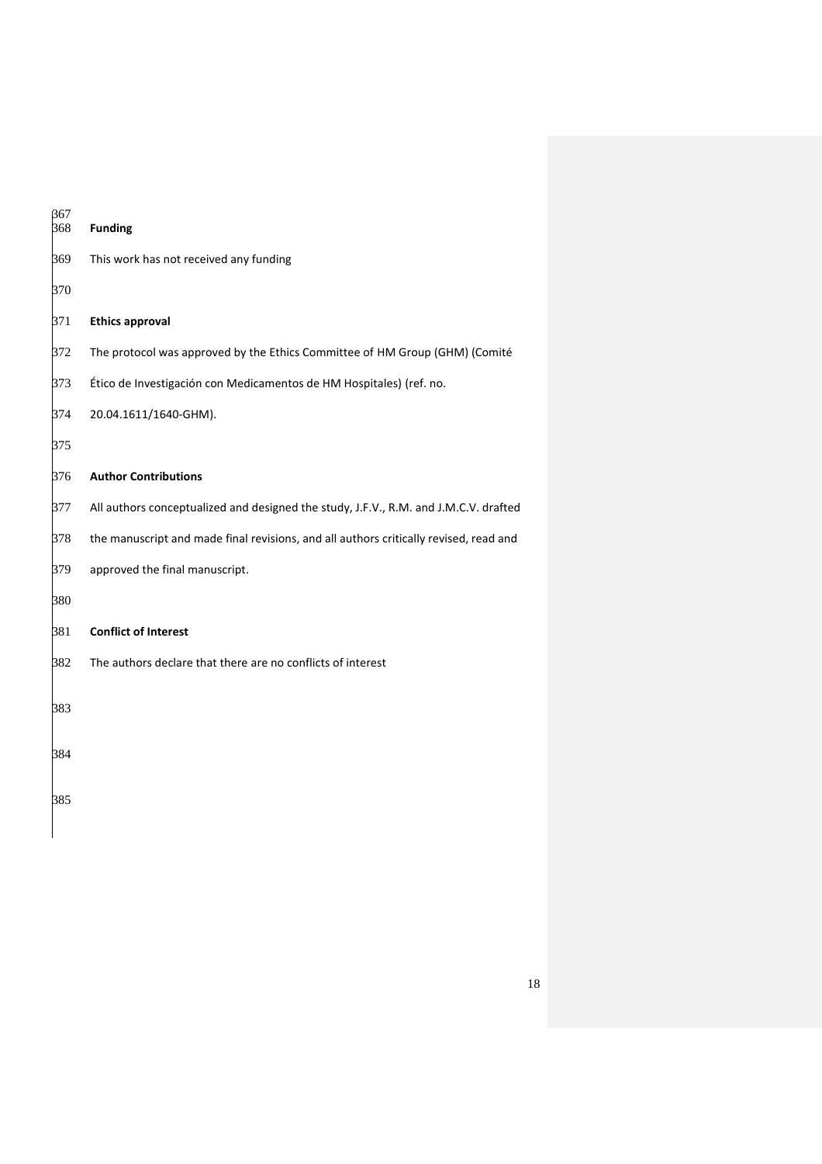| 367<br>368 | <b>Funding</b>                                                                        |
|------------|---------------------------------------------------------------------------------------|
| 369        | This work has not received any funding                                                |
| 370        |                                                                                       |
| 371        | <b>Ethics approval</b>                                                                |
| 372        | The protocol was approved by the Ethics Committee of HM Group (GHM) (Comité           |
| 373        | Ético de Investigación con Medicamentos de HM Hospitales) (ref. no.                   |
| 374        | 20.04.1611/1640-GHM).                                                                 |
| 375        |                                                                                       |
| 376        | <b>Author Contributions</b>                                                           |
| 377        | All authors conceptualized and designed the study, J.F.V., R.M. and J.M.C.V. drafted  |
| 378        | the manuscript and made final revisions, and all authors critically revised, read and |
| 379        | approved the final manuscript.                                                        |
| 380        |                                                                                       |
| 381        | <b>Conflict of Interest</b>                                                           |
| 382        | The authors declare that there are no conflicts of interest                           |
| 383        |                                                                                       |
| 384        |                                                                                       |
| 385        |                                                                                       |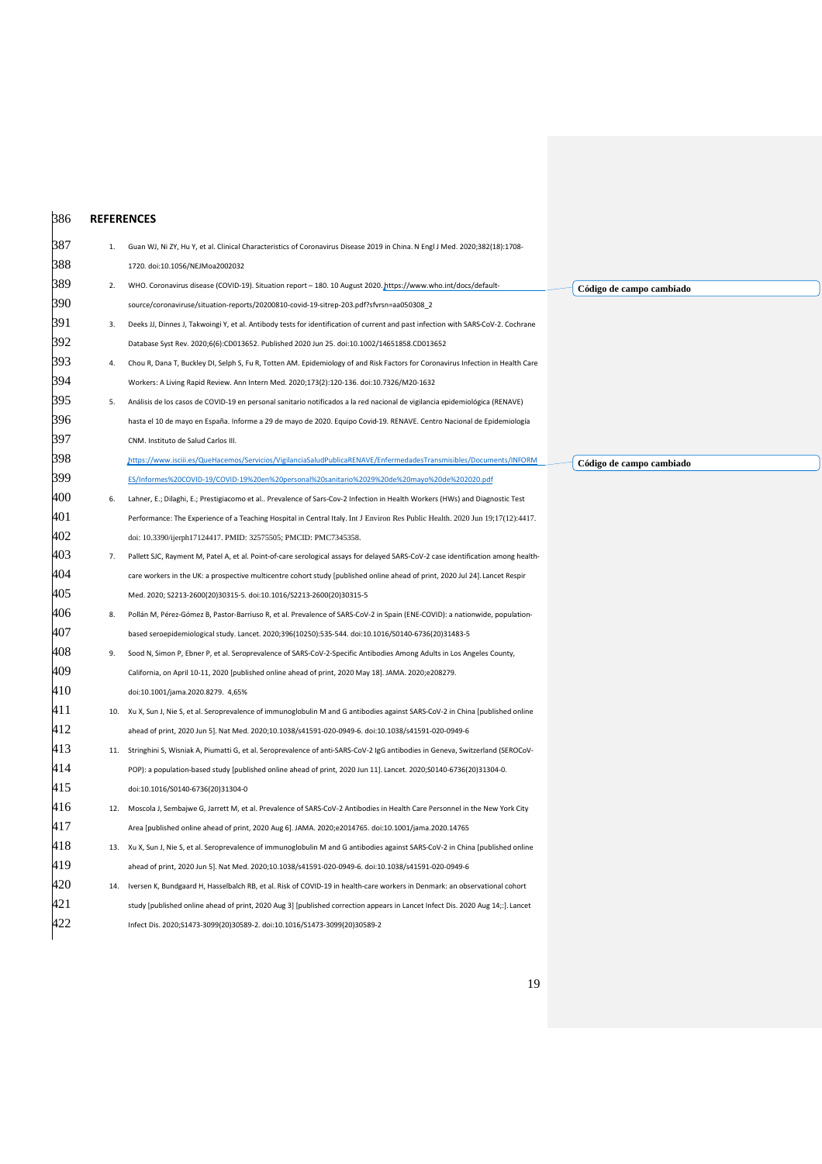| 386 |     | <b>REFERENCES</b>                                                                                                                 |
|-----|-----|-----------------------------------------------------------------------------------------------------------------------------------|
| 387 |     | Guan WJ, Ni ZY, Hu Y, et al. Clinical Characteristics of Coronavirus Disease 2019 in China. N Engl J Med. 2020;382(18):1708-      |
| 388 |     | 1720. doi:10.1056/NEJMoa2002032                                                                                                   |
| 389 | 2.  | WHO. Coronavirus disease (COVID-19). Situation report - 180. 10 August 2020. https://www.who.int/docs/default-                    |
| 390 |     | source/coronaviruse/situation-reports/20200810-covid-19-sitrep-203.pdf?sfvrsn=aa050308_2                                          |
| 391 | 3.  | Deeks JJ, Dinnes J, Takwoingi Y, et al. Antibody tests for identification of current and past infection with SARS-CoV-2. Cochrane |
| 392 |     | Database Syst Rev. 2020;6(6):CD013652. Published 2020 Jun 25. doi:10.1002/14651858.CD013652                                       |
| 393 | 4.  | Chou R, Dana T, Buckley DI, Selph S, Fu R, Totten AM. Epidemiology of and Risk Factors for Coronavirus Infection in Health Care   |
| 394 |     | Workers: A Living Rapid Review. Ann Intern Med. 2020;173(2):120-136. doi:10.7326/M20-1632                                         |
| 395 | 5.  | Análisis de los casos de COVID-19 en personal sanitario notificados a la red nacional de vigilancia epidemiológica (RENAVE)       |
| 396 |     | hasta el 10 de mayo en España. Informe a 29 de mayo de 2020. Equipo Covid-19. RENAVE. Centro Nacional de Epidemiología            |
| 397 |     | CNM. Instituto de Salud Carlos III.                                                                                               |
| 398 |     | https://www.isciii.es/QueHacemos/Servicios/VigilanciaSaludPublicaRENAVE/EnfermedadesTransmisibles/Documents/INFORM                |
| 399 |     | ES/Informes%20COVID-19/COVID-19%20en%20personal%20sanitario%2029%20de%20mayo%20de%202020.pdf                                      |
| 400 | 6.  | Lahner, E.; Dilaghi, E.; Prestigiacomo et al Prevalence of Sars-Cov-2 Infection in Health Workers (HWs) and Diagnostic Test       |
| 401 |     | Performance: The Experience of a Teaching Hospital in Central Italy. Int J Environ Res Public Health. 2020 Jun 19;17(12):4417.    |
| 402 |     | doi: 10.3390/ijerph17124417. PMID: 32575505; PMCID: PMC7345358.                                                                   |
| 403 | 7.  | Pallett SJC, Rayment M, Patel A, et al. Point-of-care serological assays for delayed SARS-CoV-2 case identification among health- |
| 404 |     | care workers in the UK: a prospective multicentre cohort study [published online ahead of print, 2020 Jul 24]. Lancet Respir      |
| 405 |     | Med. 2020; S2213-2600(20)30315-5. doi:10.1016/S2213-2600(20)30315-5                                                               |
| 406 | 8.  | Pollán M, Pérez-Gómez B, Pastor-Barriuso R, et al. Prevalence of SARS-CoV-2 in Spain (ENE-COVID): a nationwide, population-       |
| 407 |     | based seroepidemiological study. Lancet. 2020;396(10250):535-544. doi:10.1016/S0140-6736(20)31483-5                               |
| 408 | 9.  | Sood N, Simon P, Ebner P, et al. Seroprevalence of SARS-CoV-2-Specific Antibodies Among Adults in Los Angeles County,             |
| 409 |     | California, on April 10-11, 2020 [published online ahead of print, 2020 May 18]. JAMA. 2020;e208279.                              |
| 410 |     | doi:10.1001/jama.2020.8279. 4,65%                                                                                                 |
| 411 |     | 10. Xu X, Sun J, Nie S, et al. Seroprevalence of immunoglobulin M and G antibodies against SARS-CoV-2 in China [published online  |
| 412 |     | ahead of print, 2020 Jun 5]. Nat Med. 2020;10.1038/s41591-020-0949-6. doi:10.1038/s41591-020-0949-6                               |
| 413 |     | 11. Stringhini S, Wisniak A, Piumatti G, et al. Seroprevalence of anti-SARS-CoV-2 IgG antibodies in Geneva, Switzerland (SEROCoV- |
| 414 |     | POP): a population-based study [published online ahead of print, 2020 Jun 11]. Lancet. 2020;S0140-6736(20)31304-0.                |
| 415 |     | doi:10.1016/S0140-6736(20)31304-0                                                                                                 |
| 416 | 12. | Moscola J, Sembajwe G, Jarrett M, et al. Prevalence of SARS-CoV-2 Antibodies in Health Care Personnel in the New York City        |
| 417 |     | Area [published online ahead of print, 2020 Aug 6]. JAMA. 2020;e2014765. doi:10.1001/jama.2020.14765                              |
| 418 |     | 13. Xu X, Sun J, Nie S, et al. Seroprevalence of immunoglobulin M and G antibodies against SARS-CoV-2 in China [published online  |
| 419 |     | ahead of print, 2020 Jun 5]. Nat Med. 2020;10.1038/s41591-020-0949-6. doi:10.1038/s41591-020-0949-6                               |
| 420 | 14. | Iversen K, Bundgaard H, Hasselbalch RB, et al. Risk of COVID-19 in health-care workers in Denmark: an observational cohort        |
| 421 |     | study [published online ahead of print, 2020 Aug 3] [published correction appears in Lancet Infect Dis. 2020 Aug 14;:]. Lancet    |
| 422 |     | Infect Dis. 2020;S1473-3099(20)30589-2. doi:10.1016/S1473-3099(20)30589-2                                                         |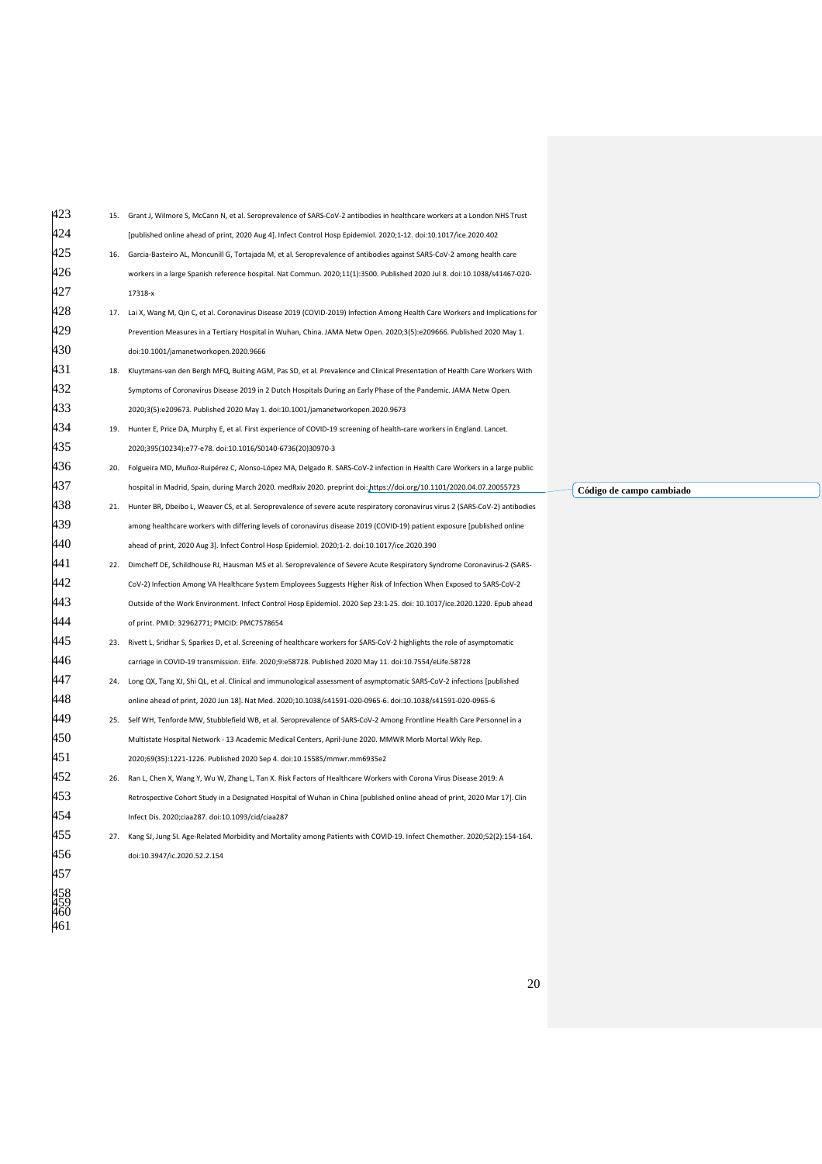| 423 |     | 15. Grant J, Wilmore S, McCann N, et al. Seroprevalence of SARS-CoV-2 antibodies in healthcare workers at a London NHS Trust    |  |
|-----|-----|---------------------------------------------------------------------------------------------------------------------------------|--|
| 424 |     | [published online ahead of print, 2020 Aug 4]. Infect Control Hosp Epidemiol. 2020;1-12. doi:10.1017/ice.2020.402               |  |
| 425 | 16. | Garcia-Basteiro AL, Moncunill G, Tortajada M, et al. Seroprevalence of antibodies against SARS-CoV-2 among health care          |  |
| 426 |     | workers in a large Spanish reference hospital. Nat Commun. 2020;11(1):3500. Published 2020 Jul 8. doi:10.1038/s41467-020-       |  |
| 427 |     | 17318-x                                                                                                                         |  |
| 428 |     | 17. Lai X, Wang M, Qin C, et al. Coronavirus Disease 2019 (COVID-2019) Infection Among Health Care Workers and Implications for |  |
| 429 |     | Prevention Measures in a Tertiary Hospital in Wuhan, China. JAMA Netw Open. 2020;3(5):e209666. Published 2020 May 1.            |  |
| 430 |     | doi:10.1001/jamanetworkopen.2020.9666                                                                                           |  |
| 431 | 18. | Kluytmans-van den Bergh MFQ, Buiting AGM, Pas SD, et al. Prevalence and Clinical Presentation of Health Care Workers With       |  |
| 432 |     | Symptoms of Coronavirus Disease 2019 in 2 Dutch Hospitals During an Early Phase of the Pandemic. JAMA Netw Open.                |  |
| 433 |     | 2020;3(5):e209673. Published 2020 May 1. doi:10.1001/jamanetworkopen.2020.9673                                                  |  |
| 434 | 19. | Hunter E, Price DA, Murphy E, et al. First experience of COVID-19 screening of health-care workers in England. Lancet.          |  |
| 435 |     | 2020;395(10234):e77-e78. doi:10.1016/S0140-6736(20)30970-3                                                                      |  |
| 436 | 20. | Folgueira MD, Muñoz-Ruipérez C, Alonso-López MA, Delgado R. SARS-CoV-2 infection in Health Care Workers in a large public       |  |
| 437 |     | hospital in Madrid, Spain, during March 2020. medRxiv 2020. preprint doi: https://doi.org/10.1101/2020.04.07.20055723           |  |
| 438 | 21. | Hunter BR, Dbeibo L, Weaver CS, et al. Seroprevalence of severe acute respiratory coronavirus virus 2 (SARS-CoV-2) antibodies   |  |
| 439 |     | among healthcare workers with differing levels of coronavirus disease 2019 (COVID-19) patient exposure [published online        |  |
| 440 |     | ahead of print, 2020 Aug 3]. Infect Control Hosp Epidemiol. 2020;1-2. doi:10.1017/ice.2020.390                                  |  |
| 441 | 22. | Dimcheff DE, Schildhouse RJ, Hausman MS et al. Seroprevalence of Severe Acute Respiratory Syndrome Coronavirus-2 (SARS-         |  |
| 442 |     | CoV-2) Infection Among VA Healthcare System Employees Suggests Higher Risk of Infection When Exposed to SARS-CoV-2              |  |
| 443 |     | Outside of the Work Environment. Infect Control Hosp Epidemiol. 2020 Sep 23:1-25. doi: 10.1017/ice.2020.1220. Epub ahead        |  |
| 444 |     | of print. PMID: 32962771; PMCID: PMC7578654                                                                                     |  |
| 445 |     | 23. Rivett L, Sridhar S, Sparkes D, et al. Screening of healthcare workers for SARS-CoV-2 highlights the role of asymptomatic   |  |
| 446 |     | carriage in COVID-19 transmission. Elife. 2020;9:e58728. Published 2020 May 11. doi:10.7554/eLife.58728                         |  |
| 447 | 24. | Long QX, Tang XJ, Shi QL, et al. Clinical and immunological assessment of asymptomatic SARS-CoV-2 infections [published         |  |
| 448 |     | online ahead of print, 2020 Jun 18]. Nat Med. 2020;10.1038/s41591-020-0965-6. doi:10.1038/s41591-020-0965-6                     |  |
| 449 | 25. | Self WH, Tenforde MW, Stubblefield WB, et al. Seroprevalence of SARS-CoV-2 Among Frontline Health Care Personnel in a           |  |
| 450 |     | Multistate Hospital Network - 13 Academic Medical Centers, April-June 2020. MMWR Morb Mortal Wkly Rep.                          |  |
| 451 |     | 2020;69(35):1221-1226. Published 2020 Sep 4. doi:10.15585/mmwr.mm6935e2                                                         |  |
| 452 | 26. | Ran L, Chen X, Wang Y, Wu W, Zhang L, Tan X. Risk Factors of Healthcare Workers with Corona Virus Disease 2019: A               |  |
| 453 |     | Retrospective Cohort Study in a Designated Hospital of Wuhan in China [published online ahead of print, 2020 Mar 17]. Clin      |  |
| 454 |     | Infect Dis. 2020;ciaa287. doi:10.1093/cid/ciaa287                                                                               |  |
| 455 | 27. | Kang SJ, Jung SI. Age-Related Morbidity and Mortality among Patients with COVID-19. Infect Chemother. 2020;52(2):154-164.       |  |
| 456 |     | doi:10.3947/ic.2020.52.2.154                                                                                                    |  |
| 457 |     |                                                                                                                                 |  |
|     |     |                                                                                                                                 |  |
|     |     |                                                                                                                                 |  |
| 461 |     |                                                                                                                                 |  |

**Código de campo cambiado**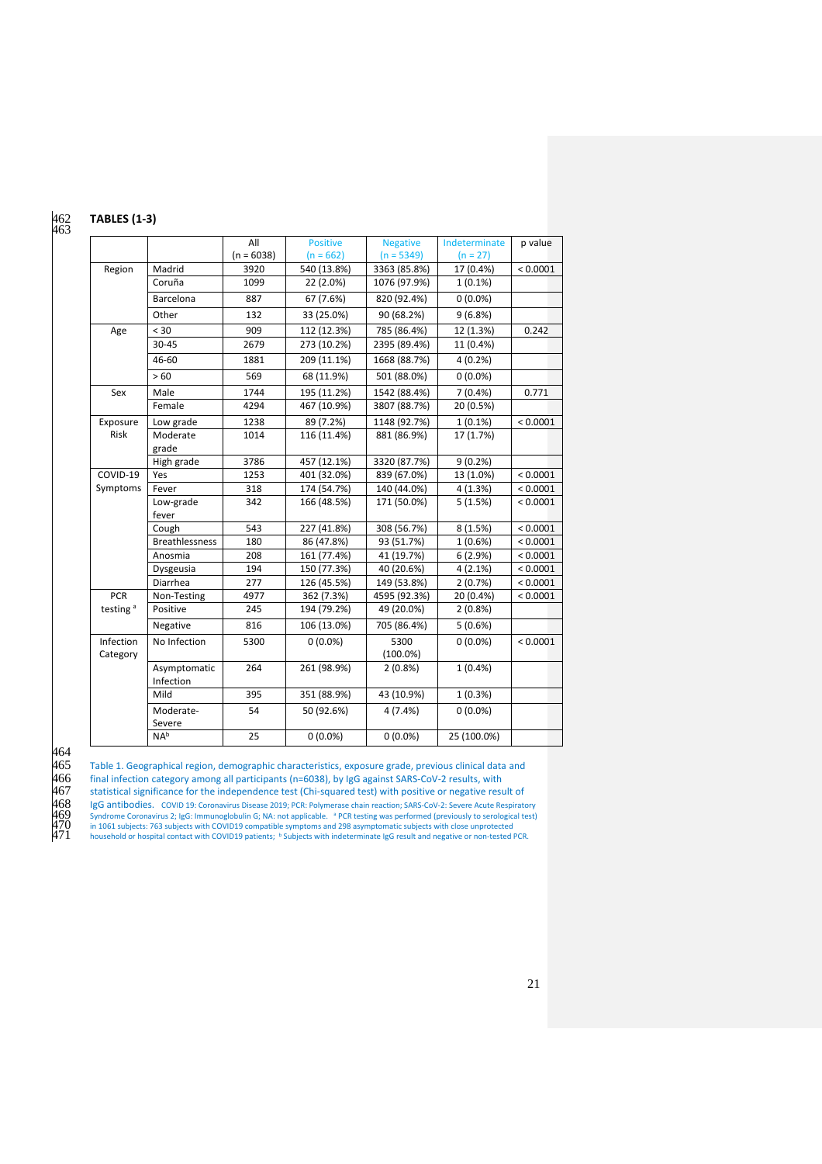#### 462 **TABLES (1-3)** 462<br>463

#### All  $(n = 6038)$ <br>3920 Positive  $(n = 662)$ <br>540 (13.8%) Negative  $(n = 5349)$ <br>3363 (85.8%) Indeterminate  $\frac{(n = 27)}{17(0.4\%)}$ p value Region Madrid 3920 540 (13.8%) 3363 (85.8%) 17 (0.4%) < 0.0001 Coruña 1099 22 (2.0%) 1076 (97.9%) 1 (0.1%) Barcelona 887 67 (7.6%) 820 (92.4%) 0 (0.0%) Other 132 33 (25.0%) 90 (68.2%) 9 (6.8%) Age < 30 909 112 (12.3%) 785 (86.4%) 12 (1.3%) 0.242 30-45 2679 273 (10.2%) 2395 (89.4%) 11 (0.4%) 46-60 1881 209 (11.1%) 1668 (88.7%) 4 (0.2%)  $> 60$  569 68 (11.9%) 501 (88.0%) 0 (0.0%) Sex Male 1744 195 (11.2%) 1542 (88.4%) 7 (0.4%) 0.771 Female 294 467 (10.9%) 3807 (88.7%) Exposure Risk Low grade 1238 89 (7.2%) 1148 (92.7%) 1 (0.1%) < 0.0001 Moderate grade<br>High grade 881 (86.9%) High grade 3786 457 (12.1%) 3320 (87.7%) 9 (0.2%) COVID-19 Symptoms Yes 1253 401 (32.0%) 839 (67.0%) 13 (1.0%) < 0.0001<br>Fever 318 174 (54.7%) 140 (44.0%) 4 (1.3%) < 0.0001 140 (44.0%) Low-grade fever 342 166 (48.5%) 171 (50.0%) 5 (1.5%) < 0.0001 Cough 543 227 (41.8%) 308 (56.7%) 8 (1.5%) < 0.0001 Breathlessness 180 86 (47.8%) 93 (51.7%) 1 (0.6%) < 0.0001<br>Anosmia 208 161 (77.4%) 41 (19.7%) 6 (2.9%) < 0.0001 Anosmia 208 161 (77.4%) 41 (19.7%) 6 (2.9%) < 0.0001 Dysgeusia 194 150 (77.3%) 40 (20.6%) 4 (2.1%) < 0.0001<br>Diarrhea 277 126 (45.5%) 149 (53.8%) 2 (0.7%) < 0.0001 277 126 (45.5%) 149 (53.8%) 2 (0.7%) < 0.0001<br>4977 362 (7.3%) 4595 (92.3%) 20 (0.4%) < 0.0001  $PCR$ testing<sup>a</sup> Non-Testing 4977 362 (7.3%) 4595 (92.3%) 20 (0.4%)<br>
Positive 245 194 (79.2%) 49 (20.0%) 2 (0.8%) 194 (79.2%) Negative 816 106 (13.0%) 705 (86.4%) 5 (0.6%) Infection Category No Infection 5300 0 (0.0%) 5300 (100.0%)  $0(0.0\%)$  < 0.0001 Asymptomatic Infection<br>Mild 264 261 (98.9%) 2 (0.8%) 1 (0.4%) Mild 395 351 (88.9%) 43 (10.9%) 1 (0.3%) Moderate-Severe<br>NAb 54 50 (92.6%) 4 (7.4%) 0 (0.0%) 25 0 (0.0%) 0 (0.0%) 25 (100.0%)

464<br>465

465 Table 1. Geographical region, demographic characteristics, exposure grade, previous clinical data and<br>466 Final infection category among all participants (n=6038), by IgG against SARS-CoV-2 results, with

466 final infection category among all participants (n=6038), by IgG against SARS-CoV-2 results, with<br>467 final statistical significance for the independence test (Chi-squared test) with positive or negative resu

467 statistical significance for the independence test (Chi-squared test) with positive or negative result of<br>468 IgG antibodies. COVID 19: Coronavirus Disease 2019; PCR: Polymerase chain reaction; SARS-CoV-2: Severe Acut

468 IgG antibodies. COVID 19: Coronavirus Disease 2019; PCR: Polymerase chain reaction; SARS-CoV-2: Severe Acute Respiratory<br>469 Syndrome Coronavirus 2; IgG: Immunoglobulin G; NA: not applicable. PCR testing was performed

470 is antiboures. COVID 13. Complaying Disease 2013, FCh. Frujine ase Grant reaction, SKN3-COV-2. Severe Active Respire<br>Sign Syndrome Coronavirus 2; [igC: limmungglobulin G; NA: not applicable. <sup>a</sup> PCR testing was perform

household or hospital contact with COVID19 patients; b Subjects with indeterminate IgG result and negative or non-tested PCR.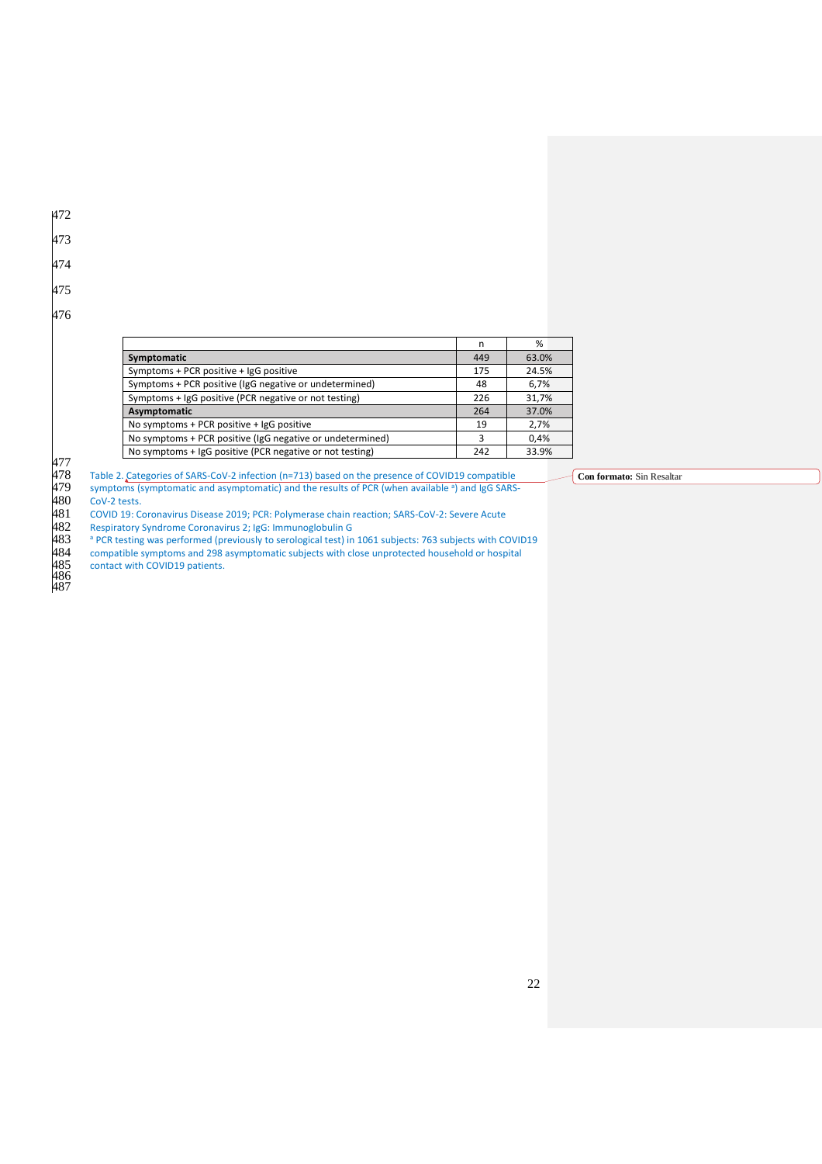- 472
- 473
- 474
- 
- 475

|                                                           | n   | %     |
|-----------------------------------------------------------|-----|-------|
| Symptomatic                                               | 449 | 63.0% |
| Symptoms + PCR positive + IgG positive                    |     | 24.5% |
| Symptoms + PCR positive (IgG negative or undetermined)    |     | 6,7%  |
| Symptoms + IgG positive (PCR negative or not testing)     |     | 31,7% |
| Asymptomatic                                              |     | 37.0% |
| No symptoms + PCR positive + IgG positive                 |     | 2.7%  |
| No symptoms + PCR positive (IgG negative or undetermined) |     | 0,4%  |
| No symptoms + IgG positive (PCR negative or not testing)  | 242 | 33.9% |

477

Table 2. Categories of SARS-CoV-2 infection (n=713) based on the presence of COVID19 compatible

symptoms (symptomatic and asymptomatic) and the results of PCR (when available <sup>a</sup>) and IgG SARS-CoV-2 tests.

481 COVID 19: Coronavirus Disease 2019; PCR: Polymerase chain reaction; SARS-CoV-2: Severe Acute

482 Respiratory Syndrome Coronavirus 2; IgG: Immunoglobulin G

 $483$  PCR testing was performed (previously to serological test) in 1061 subjects: 763 subjects with COVID19

484 compatible symptoms and 298 asymptomatic subjects with close unprotected household or hospital

contact with COVID19 patients.

486 487

**Con formato:** Sin Resaltar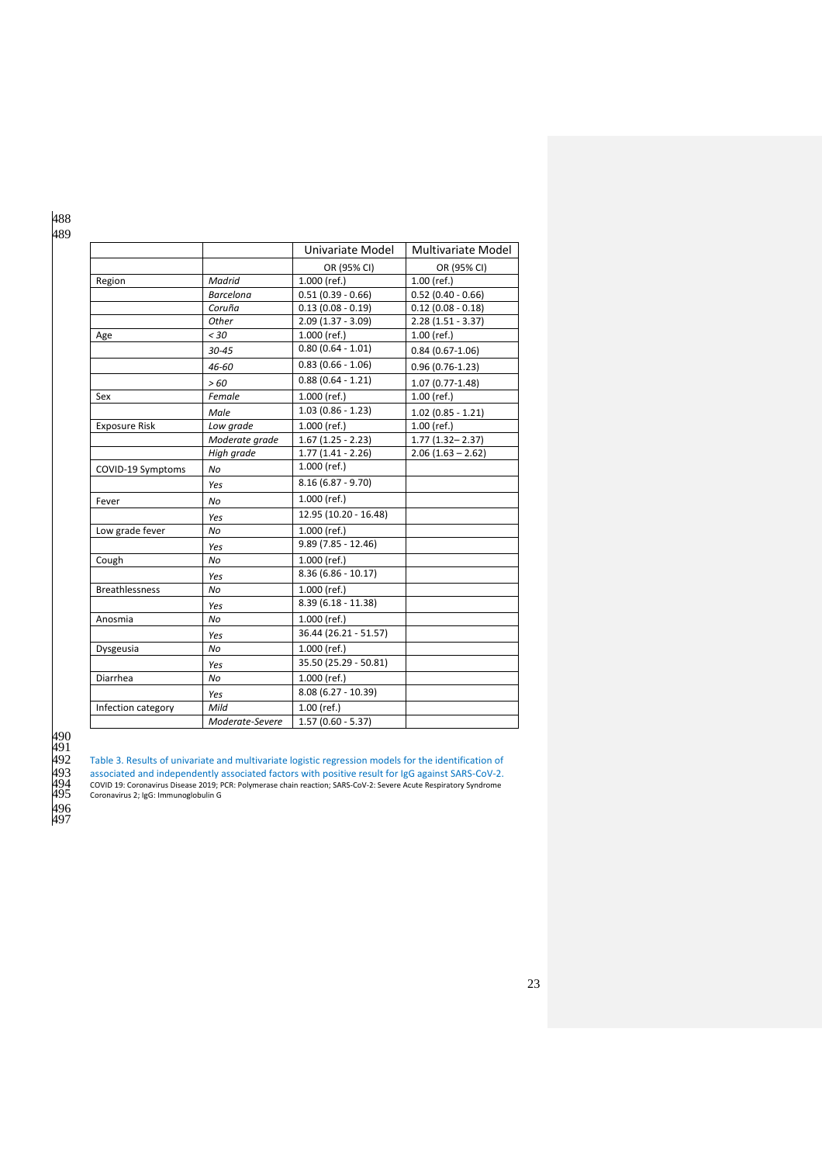|                       |                  | Univariate Model      | Multivariate Model   |
|-----------------------|------------------|-----------------------|----------------------|
|                       |                  | OR (95% CI)           | OR (95% CI)          |
| Region                | Madrid           | 1.000 (ref.)          | $1.00$ (ref.)        |
|                       | <b>Barcelona</b> | $0.51(0.39 - 0.66)$   | $0.52(0.40 - 0.66)$  |
|                       | Coruña           | $0.13(0.08 - 0.19)$   | $0.12(0.08 - 0.18)$  |
|                       | Other            | $2.09(1.37 - 3.09)$   | $2.28(1.51 - 3.37)$  |
| Age                   | < 30             | 1.000 (ref.)          | $1.00$ (ref.)        |
|                       | 30-45            | $0.80(0.64 - 1.01)$   | $0.84(0.67 - 1.06)$  |
|                       | 46-60            | $0.83(0.66 - 1.06)$   | $0.96(0.76-1.23)$    |
|                       | >60              | $0.88(0.64 - 1.21)$   | $1.07(0.77 - 1.48)$  |
| Sex                   | Female           | $1.000$ (ref.)        | $1.00$ (ref.)        |
|                       | Male             | $1.03(0.86 - 1.23)$   | $1.02$ (0.85 - 1.21) |
| <b>Exposure Risk</b>  | Low grade        | 1.000 (ref.)          | $1.00$ (ref.)        |
|                       | Moderate grade   | $1.67(1.25 - 2.23)$   | $1.77(1.32 - 2.37)$  |
|                       | High grade       | $1.77(1.41 - 2.26)$   | $2.06(1.63 - 2.62)$  |
| COVID-19 Symptoms     | No               | 1.000 (ref.)          |                      |
|                       | Yes              | $8.16(6.87 - 9.70)$   |                      |
| Fever                 | No               | 1.000 (ref.)          |                      |
|                       | Yes              | 12.95 (10.20 - 16.48) |                      |
| Low grade fever       | No               | 1.000 (ref.)          |                      |
|                       | Yes              | $9.89(7.85 - 12.46)$  |                      |
| Cough                 | No               | $1.000$ (ref.)        |                      |
|                       | Yes              | $8.36(6.86 - 10.17)$  |                      |
| <b>Breathlessness</b> | No               | 1.000 (ref.)          |                      |
|                       | Yes              | $8.39(6.18 - 11.38)$  |                      |
| Anosmia               | No               | 1.000 (ref.)          |                      |
|                       | Yes              | 36.44 (26.21 - 51.57) |                      |
| Dysgeusia             | No               | 1.000 (ref.)          |                      |
|                       | Yes              | 35.50 (25.29 - 50.81) |                      |
| Diarrhea              | No               | 1.000 (ref.)          |                      |
|                       | Yes              | $8.08(6.27 - 10.39)$  |                      |
| Infection category    | Mild             | $1.00$ (ref.)         |                      |
|                       | Moderate-Severe  | $1.57(0.60 - 5.37)$   |                      |

490 491

Table 3. Results of univariate and multivariate logistic regression models for the identification of

493 associated and independently associated factors with positive result for IgG against SARS-CoV-2.<br>494 cOVID 19: Coronavirus Disease 2019; PCR: Polymerase chain reaction; SARS-CoV-2: Severe Acute Respiratory Syndro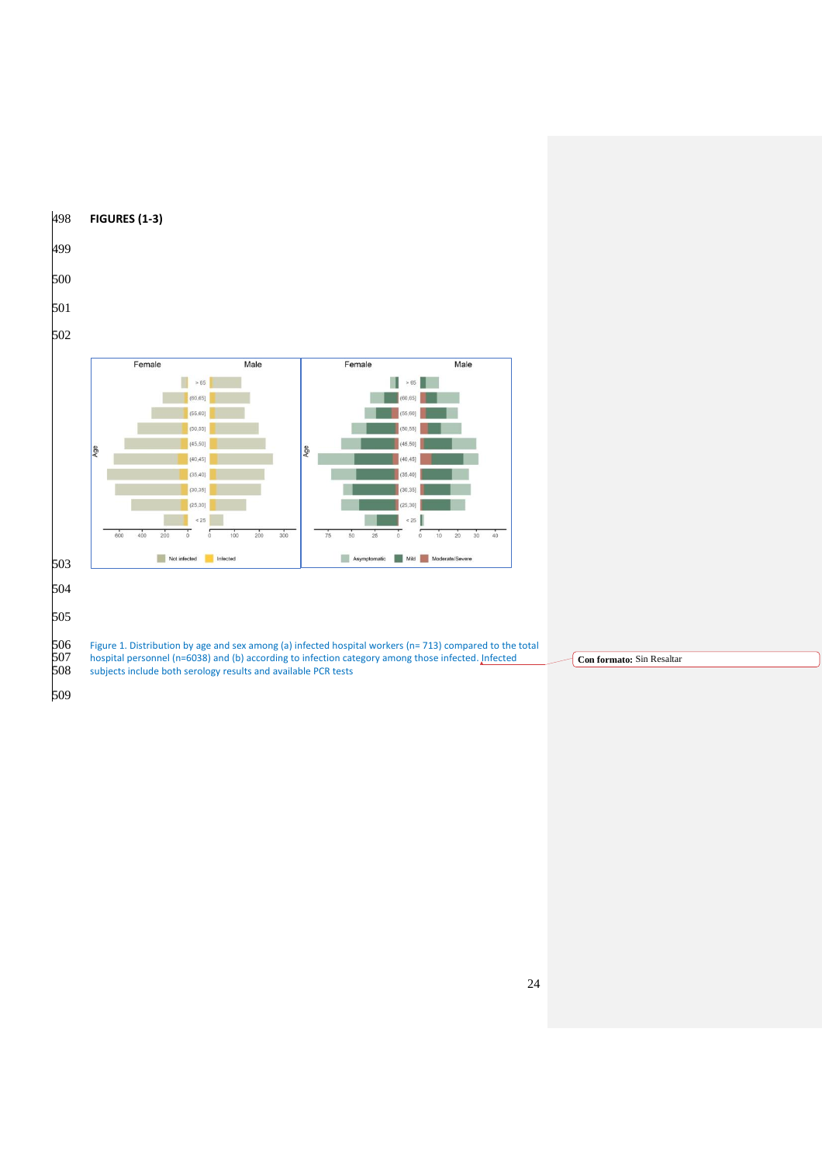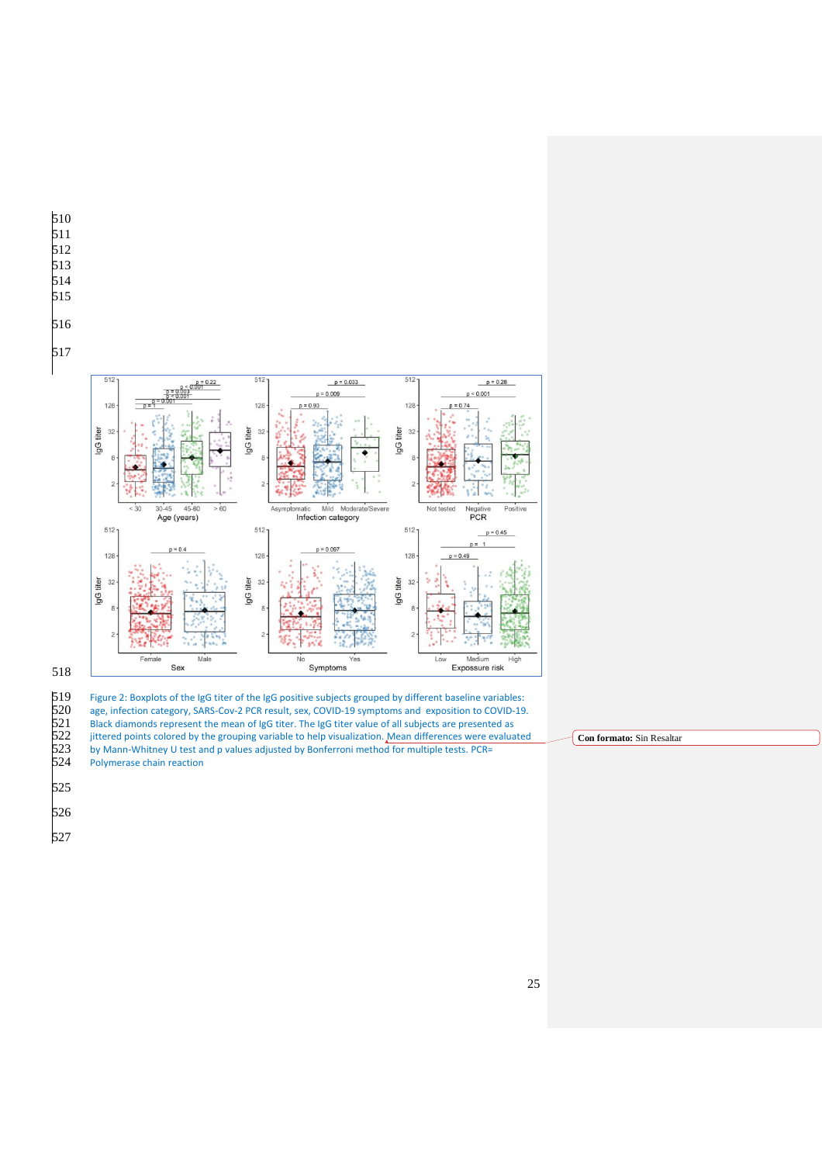

519 Figure 2: Boxplots of the IgG titer of the IgG positive subjects grouped by different baseline variables:<br>520 age, infection category, SARS-Cov-2 PCR result, sex, COVID-19 symptoms and exposition to COVID-19

Black diamonds represent the mean of IgG titer. The IgG titer value of all subjects are presented as

520 age, infection category, SARS-Cov-2 PCR result, sex, COVID-19 symptoms and exposition to COVID-19.<br>521 Black diamonds represent the mean of IgG titer. The IgG titer value of all subjects are presented as<br>522 jittered p

522 jittered points colored by the grouping variable to help visualization. Mean differences were evaluated by Mann-Whitney U test and p values adjusted by Bonferroni method for multiple tests. PCR= by Mann-Whitney U test and p values adjusted by Bonferroni method for multiple tests. PCR= Polymerase chain reaction

**Con formato:** Sin Resaltar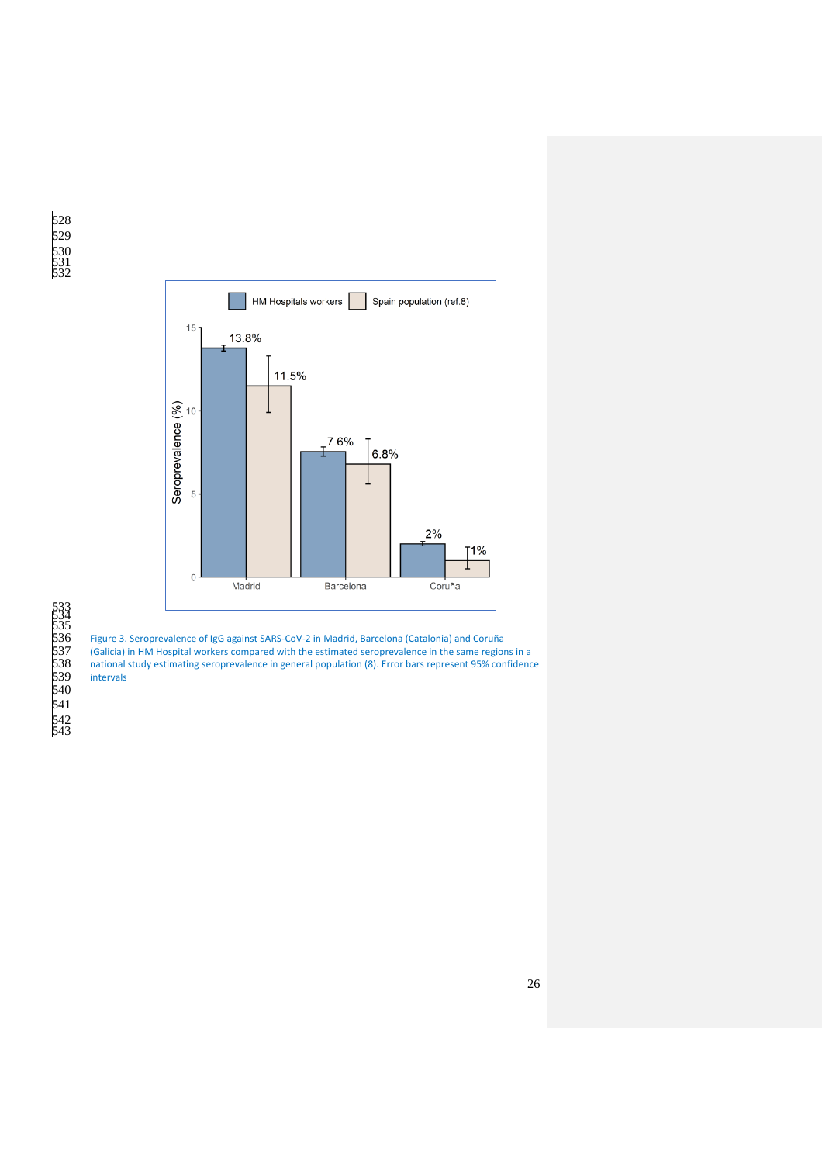